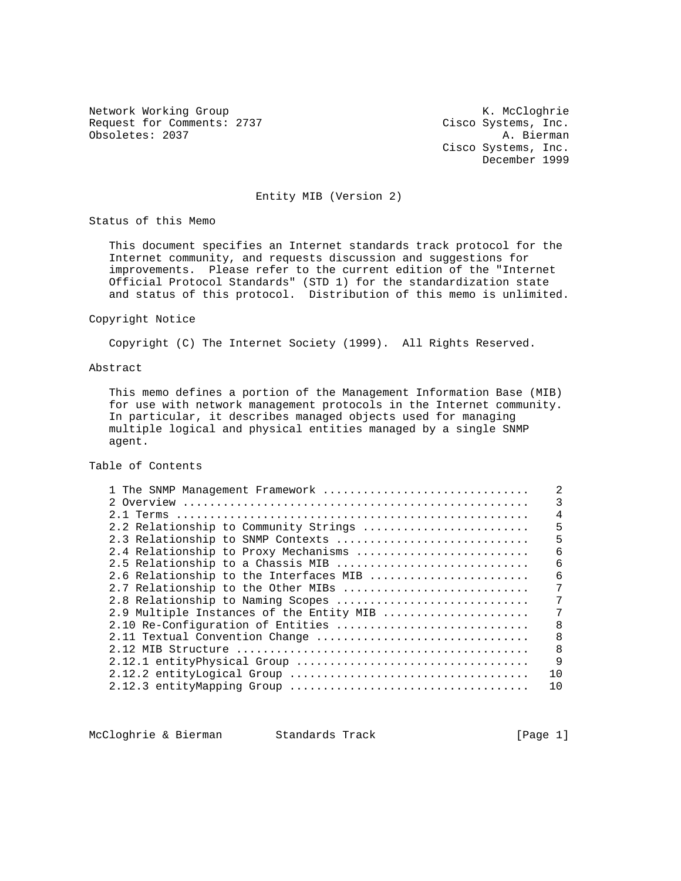Request for Comments: 2737 Cisco Systems, Inc.<br>
Obsoletes: 2037 A. Bierman Obsoletes: 2037

Network Working Group Network Working Group Network Working Group Cisco Systems, Inc. December 1999

# Entity MIB (Version 2)

Status of this Memo

 This document specifies an Internet standards track protocol for the Internet community, and requests discussion and suggestions for improvements. Please refer to the current edition of the "Internet Official Protocol Standards" (STD 1) for the standardization state and status of this protocol. Distribution of this memo is unlimited.

#### Copyright Notice

Copyright (C) The Internet Society (1999). All Rights Reserved.

### Abstract

 This memo defines a portion of the Management Information Base (MIB) for use with network management protocols in the Internet community. In particular, it describes managed objects used for managing multiple logical and physical entities managed by a single SNMP agent.

# Table of Contents

| 1 The SNMP Management Framework          |    |  |  |
|------------------------------------------|----|--|--|
|                                          |    |  |  |
| 2.1 Terms                                | 4  |  |  |
| 2.2 Relationship to Community Strings    | 5  |  |  |
| 2.3 Relationship to SNMP Contexts        | 5  |  |  |
| 2.4 Relationship to Proxy Mechanisms     | б  |  |  |
| 2.5 Relationship to a Chassis MIB        | 6  |  |  |
| 2.6 Relationship to the Interfaces MIB   | 6  |  |  |
| 2.7 Relationship to the Other MIBs       | 7  |  |  |
| 2.8 Relationship to Naming Scopes        |    |  |  |
| 2.9 Multiple Instances of the Entity MIB |    |  |  |
| 2.10 Re-Configuration of Entities        | R  |  |  |
| 8<br>2.11 Textual Convention Change      |    |  |  |
|                                          | 8  |  |  |
|                                          | 9  |  |  |
|                                          | 10 |  |  |
|                                          | 10 |  |  |

McCloghrie & Bierman Standards Track [Page 1]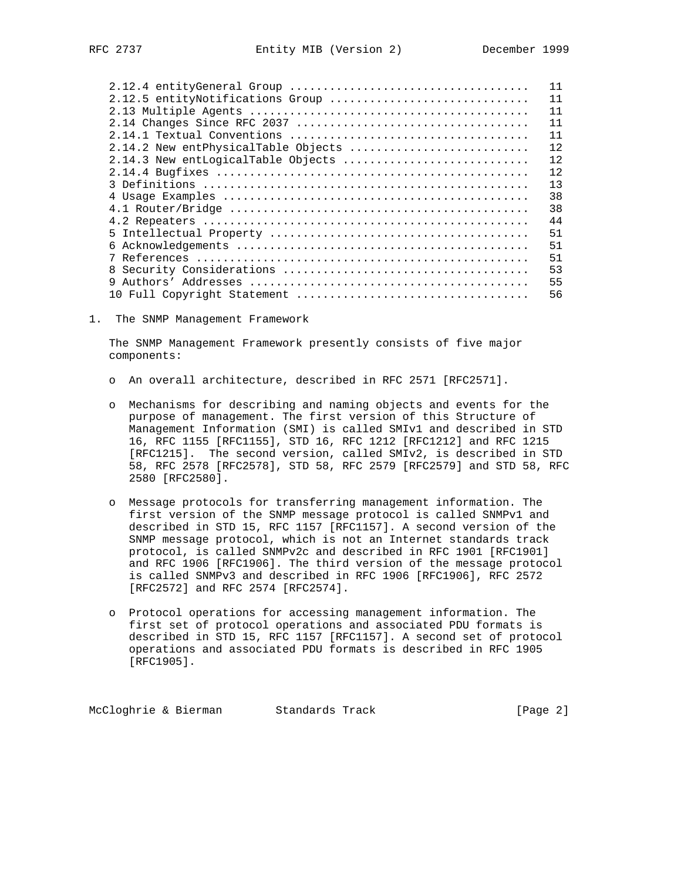|                                     | 11  |
|-------------------------------------|-----|
| 2.12.5 entityNotifications Group    | 11  |
|                                     | 11  |
|                                     | 11  |
|                                     | 11  |
| 2.14.2 New entPhysicalTable Objects | 12. |
| 2.14.3 New entLogicalTable Objects  | 12  |
|                                     | 12. |
|                                     | 13  |
|                                     | 38  |
|                                     | 38  |
|                                     | 44  |
|                                     | 51  |
|                                     | 51  |
|                                     | 51  |
|                                     | 53  |
|                                     | 55  |
| 10 Full Copyright Statement         | 56  |

1. The SNMP Management Framework

 The SNMP Management Framework presently consists of five major components:

- o An overall architecture, described in RFC 2571 [RFC2571].
- o Mechanisms for describing and naming objects and events for the purpose of management. The first version of this Structure of Management Information (SMI) is called SMIv1 and described in STD 16, RFC 1155 [RFC1155], STD 16, RFC 1212 [RFC1212] and RFC 1215 [RFC1215]. The second version, called SMIv2, is described in STD 58, RFC 2578 [RFC2578], STD 58, RFC 2579 [RFC2579] and STD 58, RFC 2580 [RFC2580].
- o Message protocols for transferring management information. The first version of the SNMP message protocol is called SNMPv1 and described in STD 15, RFC 1157 [RFC1157]. A second version of the SNMP message protocol, which is not an Internet standards track protocol, is called SNMPv2c and described in RFC 1901 [RFC1901] and RFC 1906 [RFC1906]. The third version of the message protocol is called SNMPv3 and described in RFC 1906 [RFC1906], RFC 2572 [RFC2572] and RFC 2574 [RFC2574].
- o Protocol operations for accessing management information. The first set of protocol operations and associated PDU formats is described in STD 15, RFC 1157 [RFC1157]. A second set of protocol operations and associated PDU formats is described in RFC 1905 [RFC1905].

McCloghrie & Bierman Standards Track [Page 2]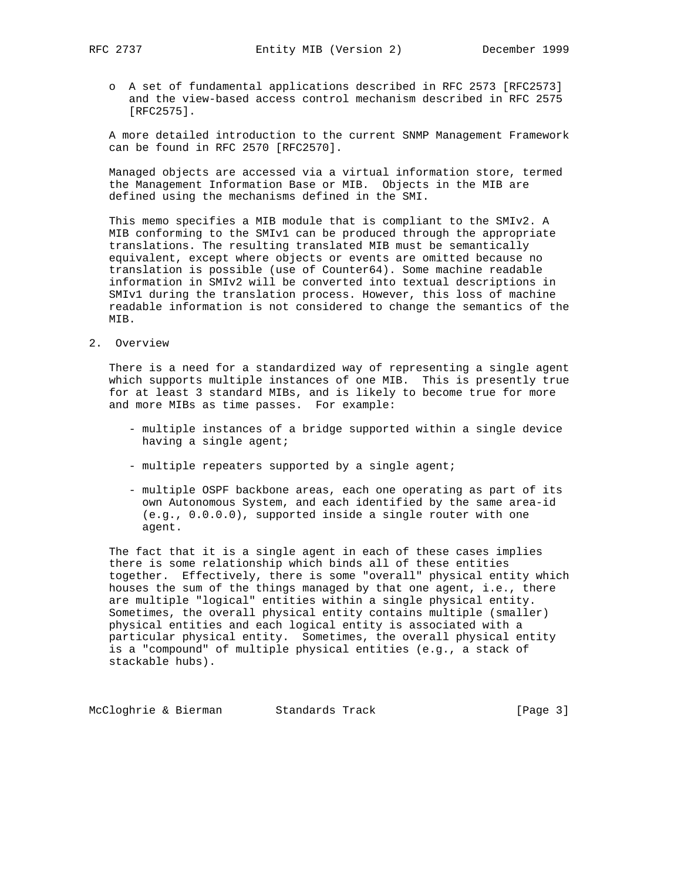o A set of fundamental applications described in RFC 2573 [RFC2573] and the view-based access control mechanism described in RFC 2575 [RFC2575].

 A more detailed introduction to the current SNMP Management Framework can be found in RFC 2570 [RFC2570].

 Managed objects are accessed via a virtual information store, termed the Management Information Base or MIB. Objects in the MIB are defined using the mechanisms defined in the SMI.

 This memo specifies a MIB module that is compliant to the SMIv2. A MIB conforming to the SMIv1 can be produced through the appropriate translations. The resulting translated MIB must be semantically equivalent, except where objects or events are omitted because no translation is possible (use of Counter64). Some machine readable information in SMIv2 will be converted into textual descriptions in SMIv1 during the translation process. However, this loss of machine readable information is not considered to change the semantics of the MIB.

2. Overview

 There is a need for a standardized way of representing a single agent which supports multiple instances of one MIB. This is presently true for at least 3 standard MIBs, and is likely to become true for more and more MIBs as time passes. For example:

- multiple instances of a bridge supported within a single device having a single agent;
- multiple repeaters supported by a single agent;
- multiple OSPF backbone areas, each one operating as part of its own Autonomous System, and each identified by the same area-id (e.g., 0.0.0.0), supported inside a single router with one agent.

 The fact that it is a single agent in each of these cases implies there is some relationship which binds all of these entities together. Effectively, there is some "overall" physical entity which houses the sum of the things managed by that one agent, i.e., there are multiple "logical" entities within a single physical entity. Sometimes, the overall physical entity contains multiple (smaller) physical entities and each logical entity is associated with a particular physical entity. Sometimes, the overall physical entity is a "compound" of multiple physical entities (e.g., a stack of stackable hubs).

McCloghrie & Bierman Standards Track [Page 3]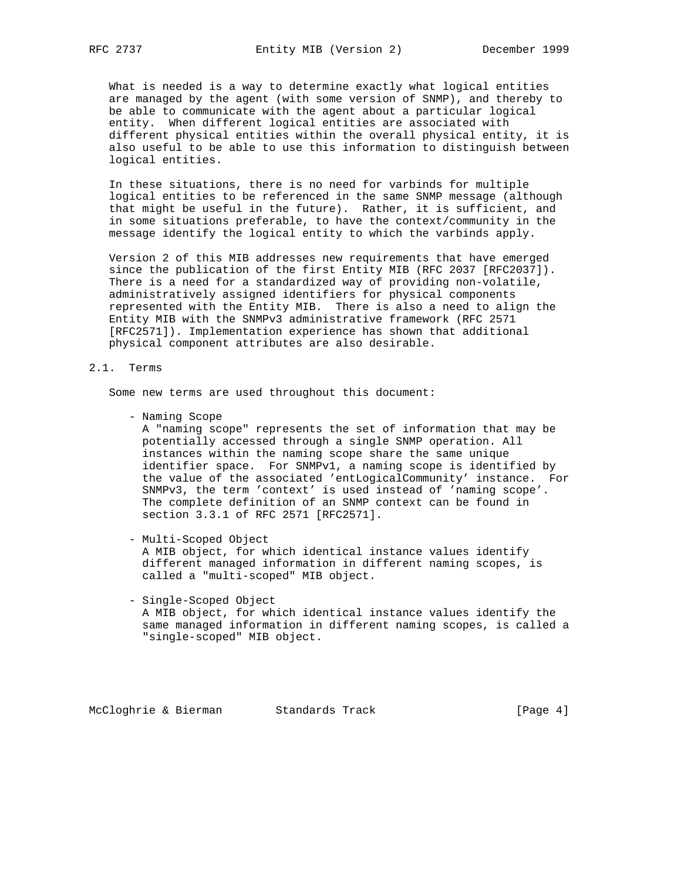What is needed is a way to determine exactly what logical entities are managed by the agent (with some version of SNMP), and thereby to be able to communicate with the agent about a particular logical entity. When different logical entities are associated with different physical entities within the overall physical entity, it is also useful to be able to use this information to distinguish between logical entities.

 In these situations, there is no need for varbinds for multiple logical entities to be referenced in the same SNMP message (although that might be useful in the future). Rather, it is sufficient, and in some situations preferable, to have the context/community in the message identify the logical entity to which the varbinds apply.

 Version 2 of this MIB addresses new requirements that have emerged since the publication of the first Entity MIB (RFC 2037 [RFC2037]). There is a need for a standardized way of providing non-volatile, administratively assigned identifiers for physical components represented with the Entity MIB. There is also a need to align the Entity MIB with the SNMPv3 administrative framework (RFC 2571 [RFC2571]). Implementation experience has shown that additional physical component attributes are also desirable.

#### 2.1. Terms

Some new terms are used throughout this document:

- Naming Scope

 A "naming scope" represents the set of information that may be potentially accessed through a single SNMP operation. All instances within the naming scope share the same unique identifier space. For SNMPv1, a naming scope is identified by the value of the associated 'entLogicalCommunity' instance. For SNMPv3, the term 'context' is used instead of 'naming scope'. The complete definition of an SNMP context can be found in section 3.3.1 of RFC 2571 [RFC2571].

- Multi-Scoped Object

 A MIB object, for which identical instance values identify different managed information in different naming scopes, is called a "multi-scoped" MIB object.

 - Single-Scoped Object A MIB object, for which identical instance values identify the same managed information in different naming scopes, is called a "single-scoped" MIB object.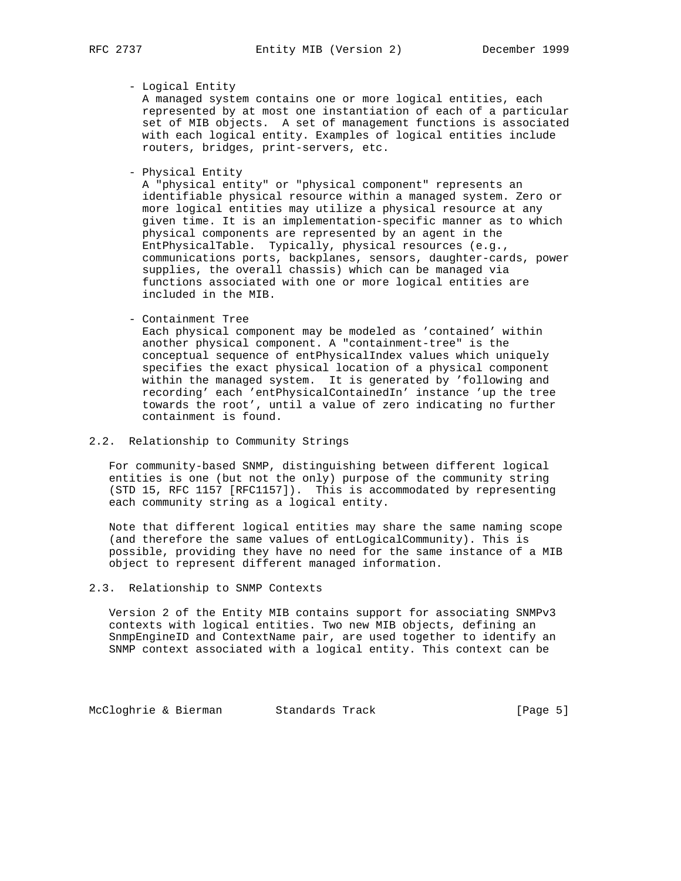# - Logical Entity

 A managed system contains one or more logical entities, each represented by at most one instantiation of each of a particular set of MIB objects. A set of management functions is associated with each logical entity. Examples of logical entities include routers, bridges, print-servers, etc.

- Physical Entity

 A "physical entity" or "physical component" represents an identifiable physical resource within a managed system. Zero or more logical entities may utilize a physical resource at any given time. It is an implementation-specific manner as to which physical components are represented by an agent in the EntPhysicalTable. Typically, physical resources (e.g., communications ports, backplanes, sensors, daughter-cards, power supplies, the overall chassis) which can be managed via functions associated with one or more logical entities are included in the MIB.

- Containment Tree

 Each physical component may be modeled as 'contained' within another physical component. A "containment-tree" is the conceptual sequence of entPhysicalIndex values which uniquely specifies the exact physical location of a physical component within the managed system. It is generated by 'following and recording' each 'entPhysicalContainedIn' instance 'up the tree towards the root', until a value of zero indicating no further containment is found.

# 2.2. Relationship to Community Strings

 For community-based SNMP, distinguishing between different logical entities is one (but not the only) purpose of the community string (STD 15, RFC 1157 [RFC1157]). This is accommodated by representing each community string as a logical entity.

 Note that different logical entities may share the same naming scope (and therefore the same values of entLogicalCommunity). This is possible, providing they have no need for the same instance of a MIB object to represent different managed information.

# 2.3. Relationship to SNMP Contexts

 Version 2 of the Entity MIB contains support for associating SNMPv3 contexts with logical entities. Two new MIB objects, defining an SnmpEngineID and ContextName pair, are used together to identify an SNMP context associated with a logical entity. This context can be

McCloghrie & Bierman Standards Track [Page 5]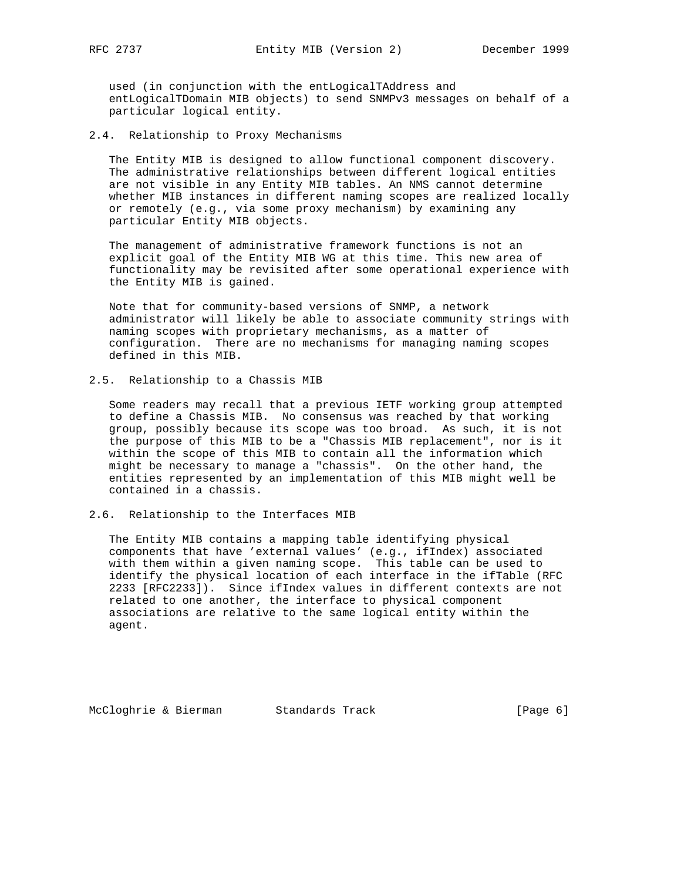used (in conjunction with the entLogicalTAddress and entLogicalTDomain MIB objects) to send SNMPv3 messages on behalf of a particular logical entity.

2.4. Relationship to Proxy Mechanisms

 The Entity MIB is designed to allow functional component discovery. The administrative relationships between different logical entities are not visible in any Entity MIB tables. An NMS cannot determine whether MIB instances in different naming scopes are realized locally or remotely (e.g., via some proxy mechanism) by examining any particular Entity MIB objects.

 The management of administrative framework functions is not an explicit goal of the Entity MIB WG at this time. This new area of functionality may be revisited after some operational experience with the Entity MIB is gained.

 Note that for community-based versions of SNMP, a network administrator will likely be able to associate community strings with naming scopes with proprietary mechanisms, as a matter of configuration. There are no mechanisms for managing naming scopes defined in this MIB.

2.5. Relationship to a Chassis MIB

 Some readers may recall that a previous IETF working group attempted to define a Chassis MIB. No consensus was reached by that working group, possibly because its scope was too broad. As such, it is not the purpose of this MIB to be a "Chassis MIB replacement", nor is it within the scope of this MIB to contain all the information which might be necessary to manage a "chassis". On the other hand, the entities represented by an implementation of this MIB might well be contained in a chassis.

2.6. Relationship to the Interfaces MIB

 The Entity MIB contains a mapping table identifying physical components that have 'external values' (e.g., ifIndex) associated with them within a given naming scope. This table can be used to identify the physical location of each interface in the ifTable (RFC 2233 [RFC2233]). Since ifIndex values in different contexts are not related to one another, the interface to physical component associations are relative to the same logical entity within the agent.

McCloghrie & Bierman Standards Track [Page 6]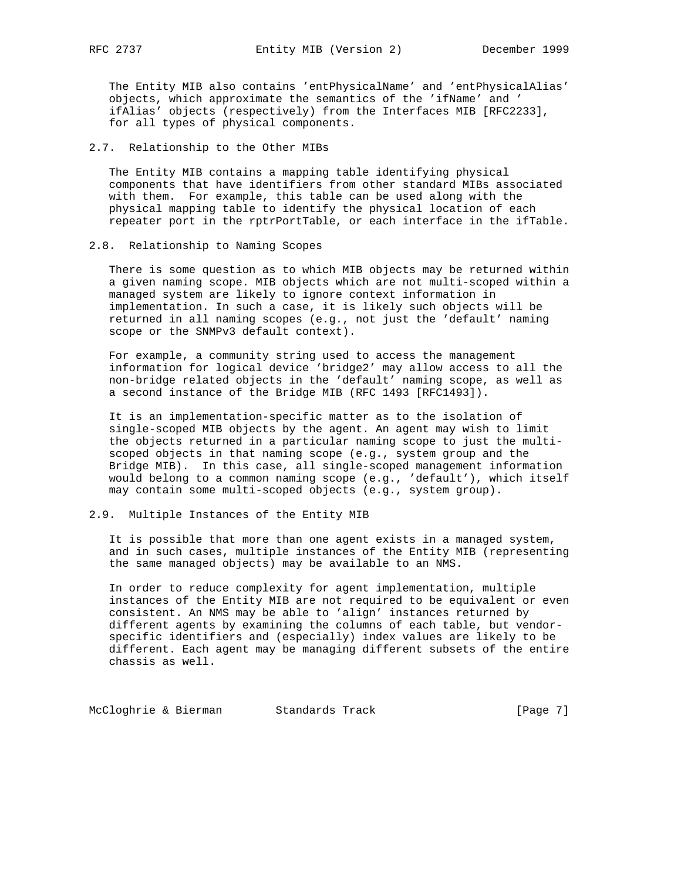The Entity MIB also contains 'entPhysicalName' and 'entPhysicalAlias' objects, which approximate the semantics of the 'ifName' and ' ifAlias' objects (respectively) from the Interfaces MIB [RFC2233], for all types of physical components.

### 2.7. Relationship to the Other MIBs

 The Entity MIB contains a mapping table identifying physical components that have identifiers from other standard MIBs associated with them. For example, this table can be used along with the physical mapping table to identify the physical location of each repeater port in the rptrPortTable, or each interface in the ifTable.

#### 2.8. Relationship to Naming Scopes

 There is some question as to which MIB objects may be returned within a given naming scope. MIB objects which are not multi-scoped within a managed system are likely to ignore context information in implementation. In such a case, it is likely such objects will be returned in all naming scopes (e.g., not just the 'default' naming scope or the SNMPv3 default context).

 For example, a community string used to access the management information for logical device 'bridge2' may allow access to all the non-bridge related objects in the 'default' naming scope, as well as a second instance of the Bridge MIB (RFC 1493 [RFC1493]).

 It is an implementation-specific matter as to the isolation of single-scoped MIB objects by the agent. An agent may wish to limit the objects returned in a particular naming scope to just the multi scoped objects in that naming scope (e.g., system group and the Bridge MIB). In this case, all single-scoped management information would belong to a common naming scope (e.g., 'default'), which itself may contain some multi-scoped objects (e.g., system group).

# 2.9. Multiple Instances of the Entity MIB

 It is possible that more than one agent exists in a managed system, and in such cases, multiple instances of the Entity MIB (representing the same managed objects) may be available to an NMS.

 In order to reduce complexity for agent implementation, multiple instances of the Entity MIB are not required to be equivalent or even consistent. An NMS may be able to 'align' instances returned by different agents by examining the columns of each table, but vendor specific identifiers and (especially) index values are likely to be different. Each agent may be managing different subsets of the entire chassis as well.

McCloghrie & Bierman Standards Track [Page 7]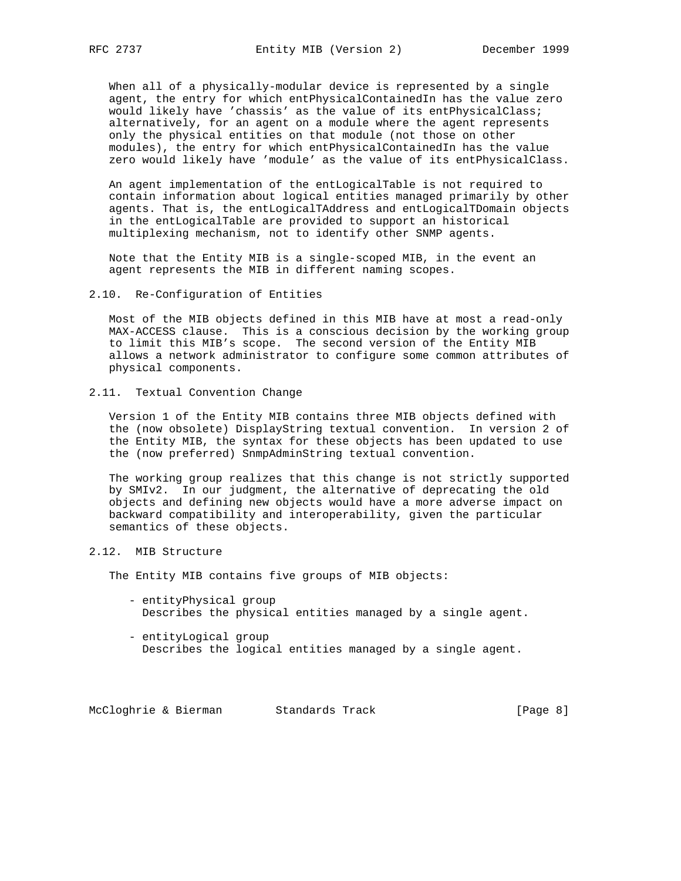When all of a physically-modular device is represented by a single agent, the entry for which entPhysicalContainedIn has the value zero would likely have 'chassis' as the value of its entPhysicalClass; alternatively, for an agent on a module where the agent represents only the physical entities on that module (not those on other modules), the entry for which entPhysicalContainedIn has the value zero would likely have 'module' as the value of its entPhysicalClass.

 An agent implementation of the entLogicalTable is not required to contain information about logical entities managed primarily by other agents. That is, the entLogicalTAddress and entLogicalTDomain objects in the entLogicalTable are provided to support an historical multiplexing mechanism, not to identify other SNMP agents.

 Note that the Entity MIB is a single-scoped MIB, in the event an agent represents the MIB in different naming scopes.

2.10. Re-Configuration of Entities

 Most of the MIB objects defined in this MIB have at most a read-only MAX-ACCESS clause. This is a conscious decision by the working group to limit this MIB's scope. The second version of the Entity MIB allows a network administrator to configure some common attributes of physical components.

2.11. Textual Convention Change

 Version 1 of the Entity MIB contains three MIB objects defined with the (now obsolete) DisplayString textual convention. In version 2 of the Entity MIB, the syntax for these objects has been updated to use the (now preferred) SnmpAdminString textual convention.

 The working group realizes that this change is not strictly supported by SMIv2. In our judgment, the alternative of deprecating the old objects and defining new objects would have a more adverse impact on backward compatibility and interoperability, given the particular semantics of these objects.

2.12. MIB Structure

The Entity MIB contains five groups of MIB objects:

- entityPhysical group Describes the physical entities managed by a single agent.
- entityLogical group Describes the logical entities managed by a single agent.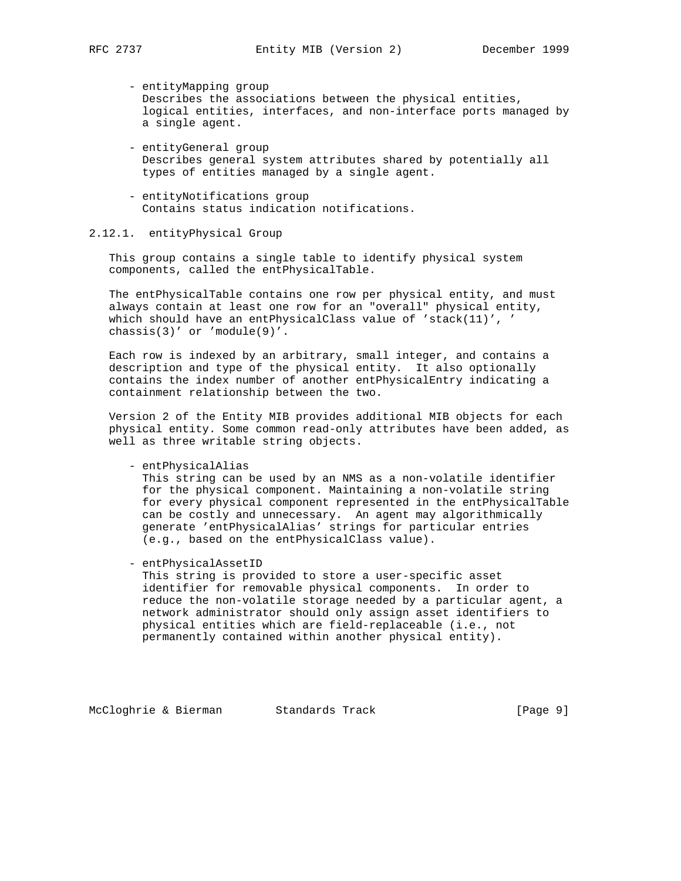- entityMapping group Describes the associations between the physical entities, logical entities, interfaces, and non-interface ports managed by a single agent.
- entityGeneral group Describes general system attributes shared by potentially all types of entities managed by a single agent.
- entityNotifications group Contains status indication notifications.

# 2.12.1. entityPhysical Group

 This group contains a single table to identify physical system components, called the entPhysicalTable.

 The entPhysicalTable contains one row per physical entity, and must always contain at least one row for an "overall" physical entity, which should have an entPhysicalClass value of 'stack(11)', ' chassis(3)' or 'module(9)'.

 Each row is indexed by an arbitrary, small integer, and contains a description and type of the physical entity. It also optionally contains the index number of another entPhysicalEntry indicating a containment relationship between the two.

 Version 2 of the Entity MIB provides additional MIB objects for each physical entity. Some common read-only attributes have been added, as well as three writable string objects.

- entPhysicalAlias

 This string can be used by an NMS as a non-volatile identifier for the physical component. Maintaining a non-volatile string for every physical component represented in the entPhysicalTable can be costly and unnecessary. An agent may algorithmically generate 'entPhysicalAlias' strings for particular entries (e.g., based on the entPhysicalClass value).

- entPhysicalAssetID

 This string is provided to store a user-specific asset identifier for removable physical components. In order to reduce the non-volatile storage needed by a particular agent, a network administrator should only assign asset identifiers to physical entities which are field-replaceable (i.e., not permanently contained within another physical entity).

McCloghrie & Bierman Standards Track [Page 9]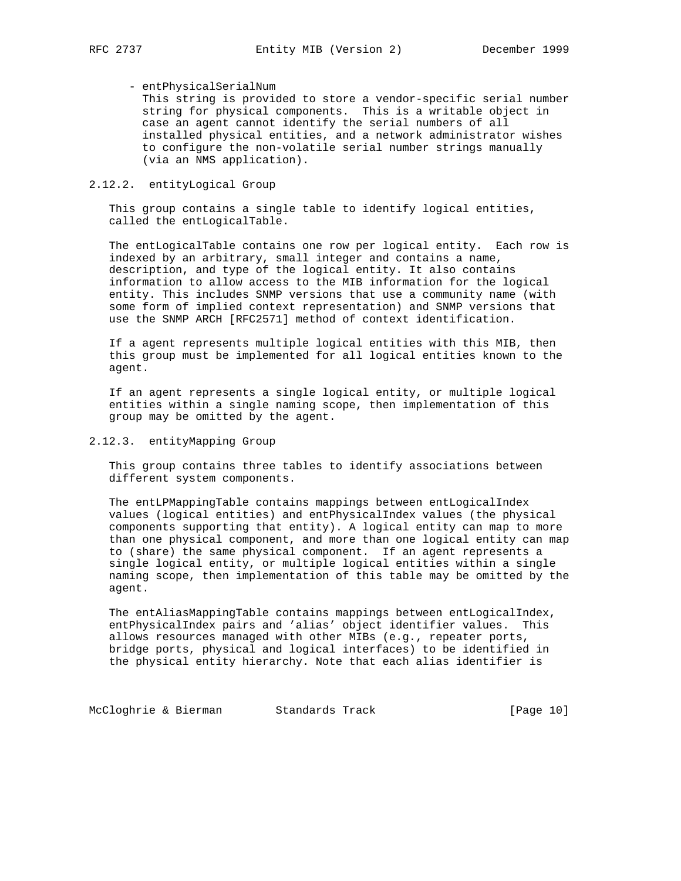# - entPhysicalSerialNum

 This string is provided to store a vendor-specific serial number string for physical components. This is a writable object in case an agent cannot identify the serial numbers of all installed physical entities, and a network administrator wishes to configure the non-volatile serial number strings manually (via an NMS application).

# 2.12.2. entityLogical Group

 This group contains a single table to identify logical entities, called the entLogicalTable.

 The entLogicalTable contains one row per logical entity. Each row is indexed by an arbitrary, small integer and contains a name, description, and type of the logical entity. It also contains information to allow access to the MIB information for the logical entity. This includes SNMP versions that use a community name (with some form of implied context representation) and SNMP versions that use the SNMP ARCH [RFC2571] method of context identification.

 If a agent represents multiple logical entities with this MIB, then this group must be implemented for all logical entities known to the agent.

 If an agent represents a single logical entity, or multiple logical entities within a single naming scope, then implementation of this group may be omitted by the agent.

# 2.12.3. entityMapping Group

 This group contains three tables to identify associations between different system components.

 The entLPMappingTable contains mappings between entLogicalIndex values (logical entities) and entPhysicalIndex values (the physical components supporting that entity). A logical entity can map to more than one physical component, and more than one logical entity can map to (share) the same physical component. If an agent represents a single logical entity, or multiple logical entities within a single naming scope, then implementation of this table may be omitted by the agent.

 The entAliasMappingTable contains mappings between entLogicalIndex, entPhysicalIndex pairs and 'alias' object identifier values. This allows resources managed with other MIBs (e.g., repeater ports, bridge ports, physical and logical interfaces) to be identified in the physical entity hierarchy. Note that each alias identifier is

McCloghrie & Bierman Standards Track [Page 10]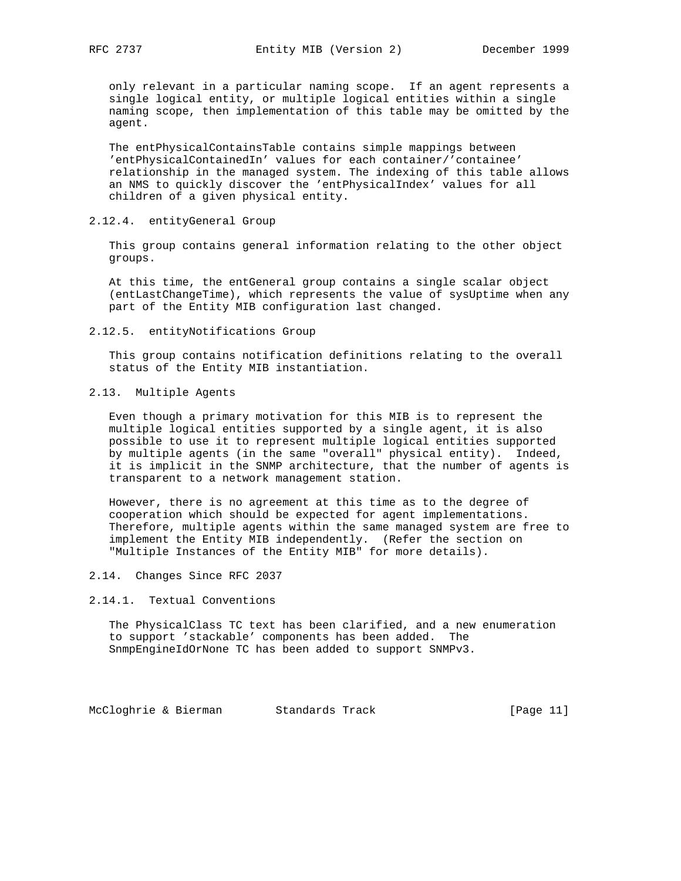only relevant in a particular naming scope. If an agent represents a single logical entity, or multiple logical entities within a single naming scope, then implementation of this table may be omitted by the agent.

 The entPhysicalContainsTable contains simple mappings between 'entPhysicalContainedIn' values for each container/'containee' relationship in the managed system. The indexing of this table allows an NMS to quickly discover the 'entPhysicalIndex' values for all children of a given physical entity.

#### 2.12.4. entityGeneral Group

 This group contains general information relating to the other object groups.

 At this time, the entGeneral group contains a single scalar object (entLastChangeTime), which represents the value of sysUptime when any part of the Entity MIB configuration last changed.

#### 2.12.5. entityNotifications Group

 This group contains notification definitions relating to the overall status of the Entity MIB instantiation.

#### 2.13. Multiple Agents

 Even though a primary motivation for this MIB is to represent the multiple logical entities supported by a single agent, it is also possible to use it to represent multiple logical entities supported by multiple agents (in the same "overall" physical entity). Indeed, it is implicit in the SNMP architecture, that the number of agents is transparent to a network management station.

 However, there is no agreement at this time as to the degree of cooperation which should be expected for agent implementations. Therefore, multiple agents within the same managed system are free to implement the Entity MIB independently. (Refer the section on "Multiple Instances of the Entity MIB" for more details).

# 2.14. Changes Since RFC 2037

### 2.14.1. Textual Conventions

 The PhysicalClass TC text has been clarified, and a new enumeration to support 'stackable' components has been added. The SnmpEngineIdOrNone TC has been added to support SNMPv3.

McCloghrie & Bierman Standards Track [Page 11]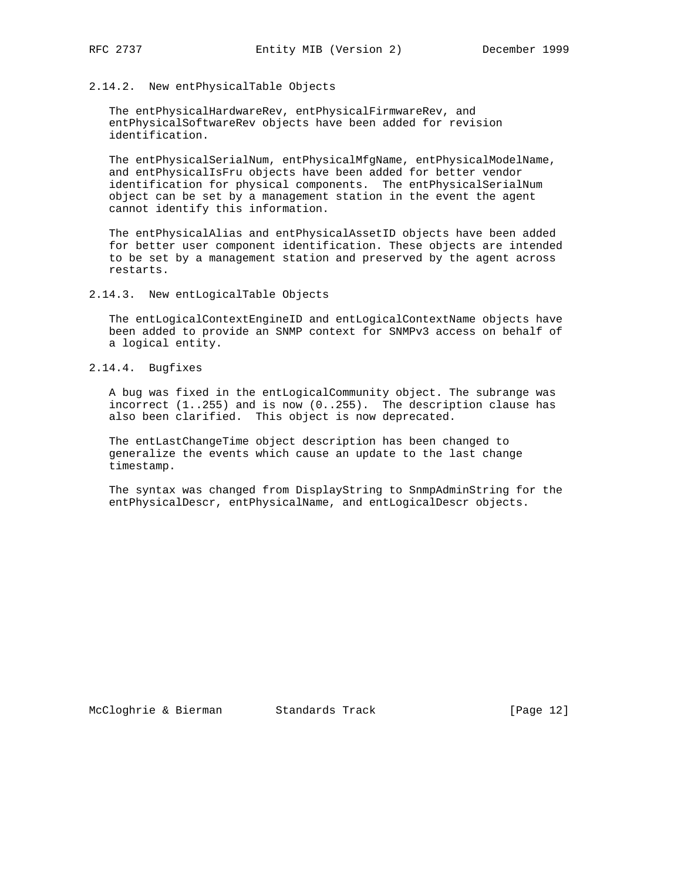# 2.14.2. New entPhysicalTable Objects

 The entPhysicalHardwareRev, entPhysicalFirmwareRev, and entPhysicalSoftwareRev objects have been added for revision identification.

 The entPhysicalSerialNum, entPhysicalMfgName, entPhysicalModelName, and entPhysicalIsFru objects have been added for better vendor identification for physical components. The entPhysicalSerialNum object can be set by a management station in the event the agent cannot identify this information.

 The entPhysicalAlias and entPhysicalAssetID objects have been added for better user component identification. These objects are intended to be set by a management station and preserved by the agent across restarts.

2.14.3. New entLogicalTable Objects

 The entLogicalContextEngineID and entLogicalContextName objects have been added to provide an SNMP context for SNMPv3 access on behalf of a logical entity.

2.14.4. Bugfixes

 A bug was fixed in the entLogicalCommunity object. The subrange was incorrect (1..255) and is now (0..255). The description clause has also been clarified. This object is now deprecated.

 The entLastChangeTime object description has been changed to generalize the events which cause an update to the last change timestamp.

 The syntax was changed from DisplayString to SnmpAdminString for the entPhysicalDescr, entPhysicalName, and entLogicalDescr objects.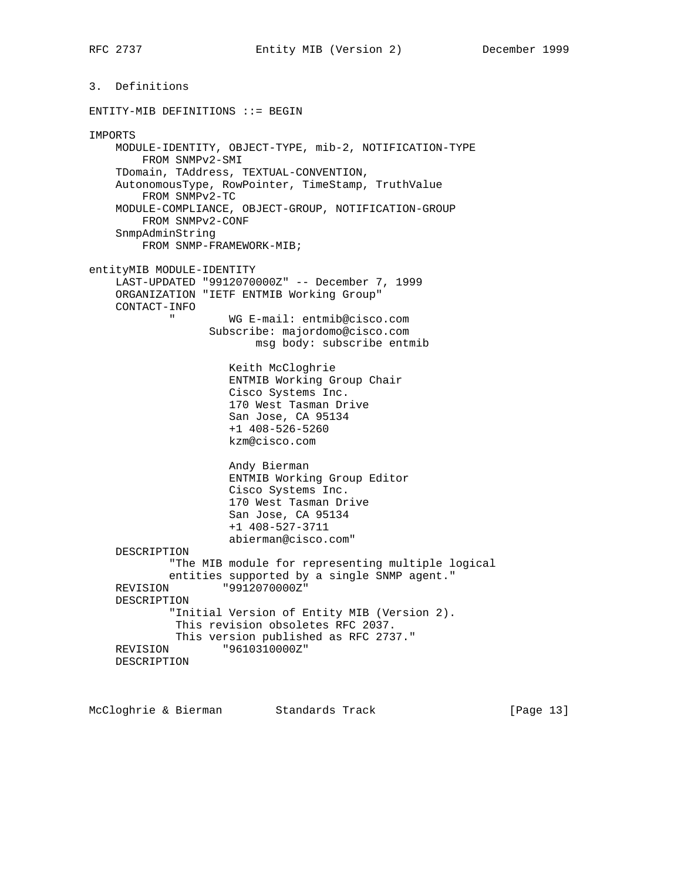3. Definitions ENTITY-MIB DEFINITIONS ::= BEGIN IMPORTS MODULE-IDENTITY, OBJECT-TYPE, mib-2, NOTIFICATION-TYPE FROM SNMPv2-SMI TDomain, TAddress, TEXTUAL-CONVENTION, AutonomousType, RowPointer, TimeStamp, TruthValue FROM SNMPv2-TC MODULE-COMPLIANCE, OBJECT-GROUP, NOTIFICATION-GROUP FROM SNMPv2-CONF SnmpAdminString FROM SNMP-FRAMEWORK-MIB; entityMIB MODULE-IDENTITY LAST-UPDATED "9912070000Z" -- December 7, 1999 ORGANIZATION "IETF ENTMIB Working Group" CONTACT-INFO " WG E-mail: entmib@cisco.com Subscribe: majordomo@cisco.com msg body: subscribe entmib Keith McCloghrie ENTMIB Working Group Chair Cisco Systems Inc. 170 West Tasman Drive San Jose, CA 95134 +1 408-526-5260 kzm@cisco.com Andy Bierman ENTMIB Working Group Editor Cisco Systems Inc. 170 West Tasman Drive San Jose, CA 95134 +1 408-527-3711 abierman@cisco.com" DESCRIPTION "The MIB module for representing multiple logical entities supported by a single SNMP agent." REVISION "9912070000Z" DESCRIPTION "Initial Version of Entity MIB (Version 2). This revision obsoletes RFC 2037. This version published as RFC 2737."<br>REVISION "96103100002" "9610310000Z" DESCRIPTION

McCloghrie & Bierman Standards Track [Page 13]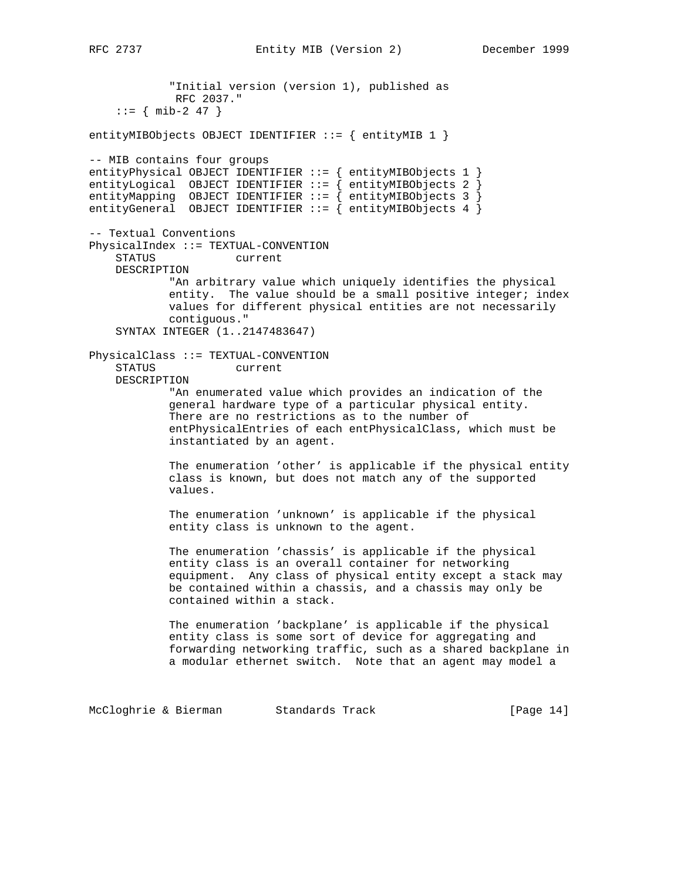"Initial version (version 1), published as RFC 2037."  $: := \{ \text{min-2 47 } \}$ entityMIBObjects OBJECT IDENTIFIER ::= { entityMIB 1 } -- MIB contains four groups entityPhysical OBJECT IDENTIFIER  $::=$  { entityMIBObjects 1 } entityLogical OBJECT IDENTIFIER ::= { entityMIBObjects 2 } entityMapping OBJECT IDENTIFIER ::= { entityMIBObjects 3 } entityGeneral OBJECT IDENTIFIER ::= { entityMIBObjects 4 } -- Textual Conventions PhysicalIndex ::= TEXTUAL-CONVENTION STATUS current DESCRIPTION "An arbitrary value which uniquely identifies the physical entity. The value should be a small positive integer; index values for different physical entities are not necessarily contiguous." SYNTAX INTEGER (1..2147483647) PhysicalClass ::= TEXTUAL-CONVENTION STATUS current DESCRIPTION "An enumerated value which provides an indication of the general hardware type of a particular physical entity. There are no restrictions as to the number of entPhysicalEntries of each entPhysicalClass, which must be instantiated by an agent. The enumeration 'other' is applicable if the physical entity class is known, but does not match any of the supported values. The enumeration 'unknown' is applicable if the physical entity class is unknown to the agent. The enumeration 'chassis' is applicable if the physical entity class is an overall container for networking equipment. Any class of physical entity except a stack may be contained within a chassis, and a chassis may only be contained within a stack. The enumeration 'backplane' is applicable if the physical entity class is some sort of device for aggregating and forwarding networking traffic, such as a shared backplane in a modular ethernet switch. Note that an agent may model a

McCloghrie & Bierman Standards Track [Page 14]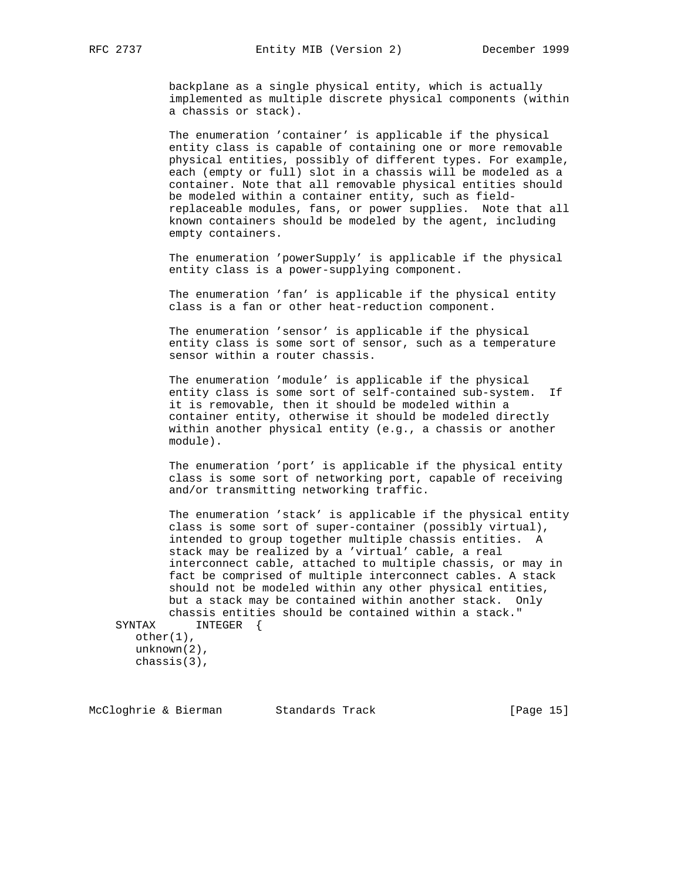backplane as a single physical entity, which is actually implemented as multiple discrete physical components (within a chassis or stack).

 The enumeration 'container' is applicable if the physical entity class is capable of containing one or more removable physical entities, possibly of different types. For example, each (empty or full) slot in a chassis will be modeled as a container. Note that all removable physical entities should be modeled within a container entity, such as field replaceable modules, fans, or power supplies. Note that all known containers should be modeled by the agent, including empty containers.

 The enumeration 'powerSupply' is applicable if the physical entity class is a power-supplying component.

 The enumeration 'fan' is applicable if the physical entity class is a fan or other heat-reduction component.

 The enumeration 'sensor' is applicable if the physical entity class is some sort of sensor, such as a temperature sensor within a router chassis.

 The enumeration 'module' is applicable if the physical entity class is some sort of self-contained sub-system. If it is removable, then it should be modeled within a container entity, otherwise it should be modeled directly within another physical entity (e.g., a chassis or another module).

 The enumeration 'port' is applicable if the physical entity class is some sort of networking port, capable of receiving and/or transmitting networking traffic.

 The enumeration 'stack' is applicable if the physical entity class is some sort of super-container (possibly virtual), intended to group together multiple chassis entities. A stack may be realized by a 'virtual' cable, a real interconnect cable, attached to multiple chassis, or may in fact be comprised of multiple interconnect cables. A stack should not be modeled within any other physical entities, but a stack may be contained within another stack. Only chassis entities should be contained within a stack."<br>SYNTAX INTEGER { INTEGER {

 other(1), unknown(2), chassis(3),

McCloghrie & Bierman Standards Track [Page 15]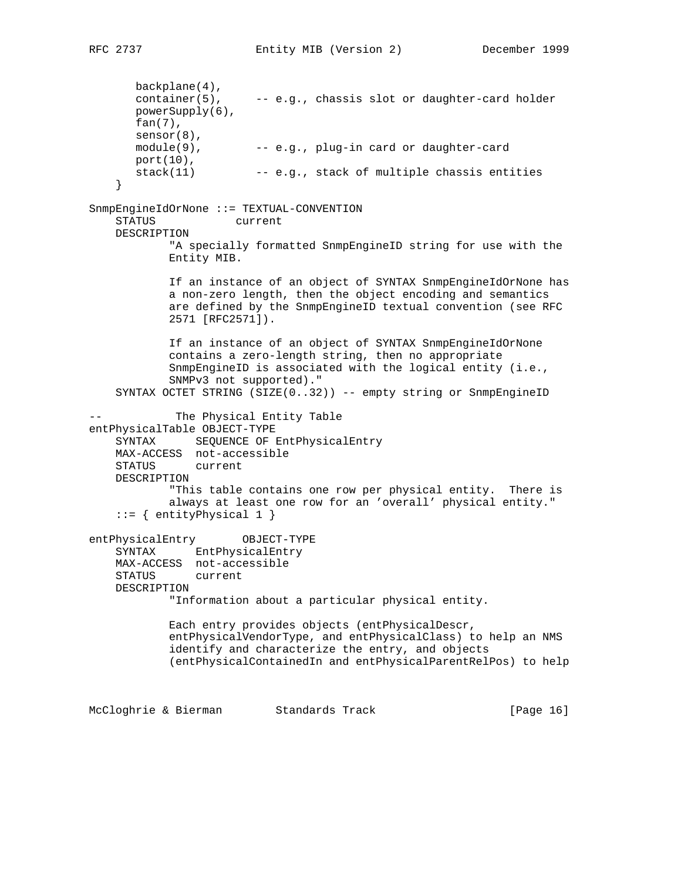backplane(4), container(5), -- e.g., chassis slot or daughter-card holder powerSupply(6), fan(7), sensor(8),  $model(9)$ ,  $---$  e.g., plug-in card or daughter-card port(10), stack(11) -- e.g., stack of multiple chassis entities } SnmpEngineIdOrNone ::= TEXTUAL-CONVENTION STATUS current DESCRIPTION "A specially formatted SnmpEngineID string for use with the Entity MIB. If an instance of an object of SYNTAX SnmpEngineIdOrNone has a non-zero length, then the object encoding and semantics are defined by the SnmpEngineID textual convention (see RFC 2571 [RFC2571]). If an instance of an object of SYNTAX SnmpEngineIdOrNone contains a zero-length string, then no appropriate SnmpEngineID is associated with the logical entity (i.e., SNMPv3 not supported)." SYNTAX OCTET STRING (SIZE(0..32)) -- empty string or SnmpEngineID The Physical Entity Table entPhysicalTable OBJECT-TYPE SYNTAX SEQUENCE OF EntPhysicalEntry MAX-ACCESS not-accessible STATUS current DESCRIPTION "This table contains one row per physical entity. There is always at least one row for an 'overall' physical entity."  $::=$  { entityPhysical 1 } entPhysicalEntry OBJECT-TYPE SYNTAX EntPhysicalEntry MAX-ACCESS not-accessible STATUS current DESCRIPTION "Information about a particular physical entity. Each entry provides objects (entPhysicalDescr, entPhysicalVendorType, and entPhysicalClass) to help an NMS identify and characterize the entry, and objects (entPhysicalContainedIn and entPhysicalParentRelPos) to help

McCloghrie & Bierman Standards Track [Page 16]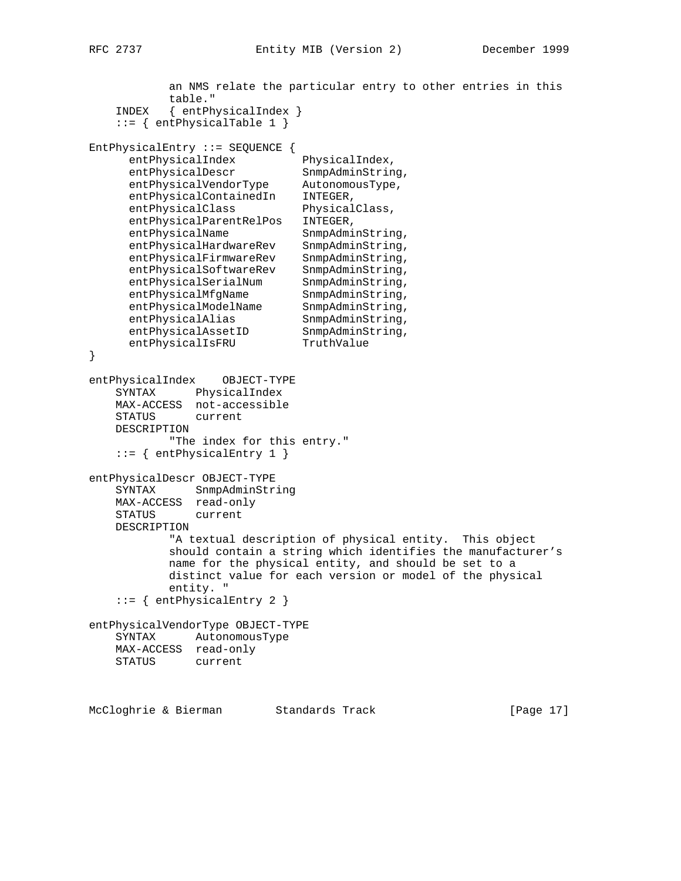```
 an NMS relate the particular entry to other entries in this
           table."
    INDEX { entPhysicalIndex }
    ::= { entPhysicalTable 1 }
EntPhysicalEntry ::= SEQUENCE {
     entPhysicalIndex PhysicalIndex,
entPhysicalDescr SnmpAdminString,
 entPhysicalVendorType AutonomousType,
entPhysicalContainedIn INTEGER,
entPhysicalClass PhysicalClass,
      entPhysicalParentRelPos INTEGER,
entPhysicalName SnmpAdminString,
 entPhysicalHardwareRev SnmpAdminString,
 entPhysicalFirmwareRev SnmpAdminString,
 entPhysicalSoftwareRev SnmpAdminString,
entPhysicalSerialNum SnmpAdminString,
entPhysicalMfgName SnmpAdminString,
entPhysicalModelName SnmpAdminString,
entPhysicalAlias SnmpAdminString,
entPhysicalAssetID SnmpAdminString,
entPhysicalIsFRU TruthValue
}
entPhysicalIndex OBJECT-TYPE
    SYNTAX PhysicalIndex
    MAX-ACCESS not-accessible
    STATUS current
    DESCRIPTION
           "The index for this entry."
    ::= { entPhysicalEntry 1 }
entPhysicalDescr OBJECT-TYPE
    SYNTAX SnmpAdminString
    MAX-ACCESS read-only
    STATUS current
    DESCRIPTION
           "A textual description of physical entity. This object
           should contain a string which identifies the manufacturer's
           name for the physical entity, and should be set to a
           distinct value for each version or model of the physical
           entity. "
    ::= { entPhysicalEntry 2 }
entPhysicalVendorType OBJECT-TYPE
    SYNTAX AutonomousType
    MAX-ACCESS read-only
    STATUS current
```
McCloghrie & Bierman Standards Track [Page 17]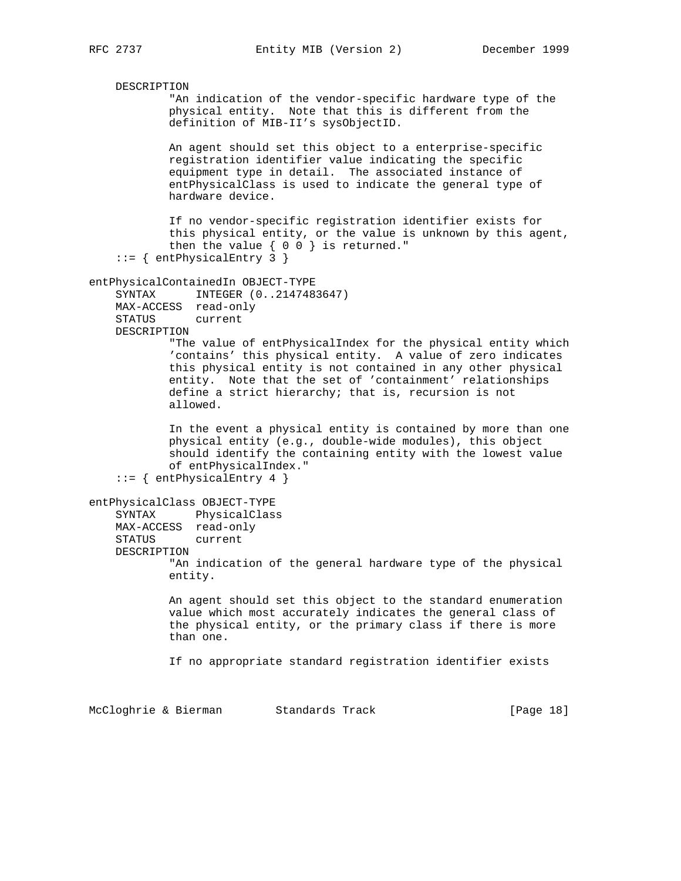```
 DESCRIPTION
             "An indication of the vendor-specific hardware type of the
             physical entity. Note that this is different from the
             definition of MIB-II's sysObjectID.
            An agent should set this object to a enterprise-specific
            registration identifier value indicating the specific
             equipment type in detail. The associated instance of
             entPhysicalClass is used to indicate the general type of
             hardware device.
             If no vendor-specific registration identifier exists for
             this physical entity, or the value is unknown by this agent,
             then the value { 0 0 } is returned."
     ::= { entPhysicalEntry 3 }
entPhysicalContainedIn OBJECT-TYPE
     SYNTAX INTEGER (0..2147483647)
     MAX-ACCESS read-only
     STATUS current
    DESCRIPTION
            "The value of entPhysicalIndex for the physical entity which
             'contains' this physical entity. A value of zero indicates
             this physical entity is not contained in any other physical
             entity. Note that the set of 'containment' relationships
             define a strict hierarchy; that is, recursion is not
            allowed.
             In the event a physical entity is contained by more than one
            physical entity (e.g., double-wide modules), this object
             should identify the containing entity with the lowest value
             of entPhysicalIndex."
     ::= { entPhysicalEntry 4 }
entPhysicalClass OBJECT-TYPE
     SYNTAX PhysicalClass
     MAX-ACCESS read-only
     STATUS current
     DESCRIPTION
             "An indication of the general hardware type of the physical
             entity.
             An agent should set this object to the standard enumeration
             value which most accurately indicates the general class of
             the physical entity, or the primary class if there is more
            than one.
             If no appropriate standard registration identifier exists
McCloghrie & Bierman Standards Track [Page 18]
```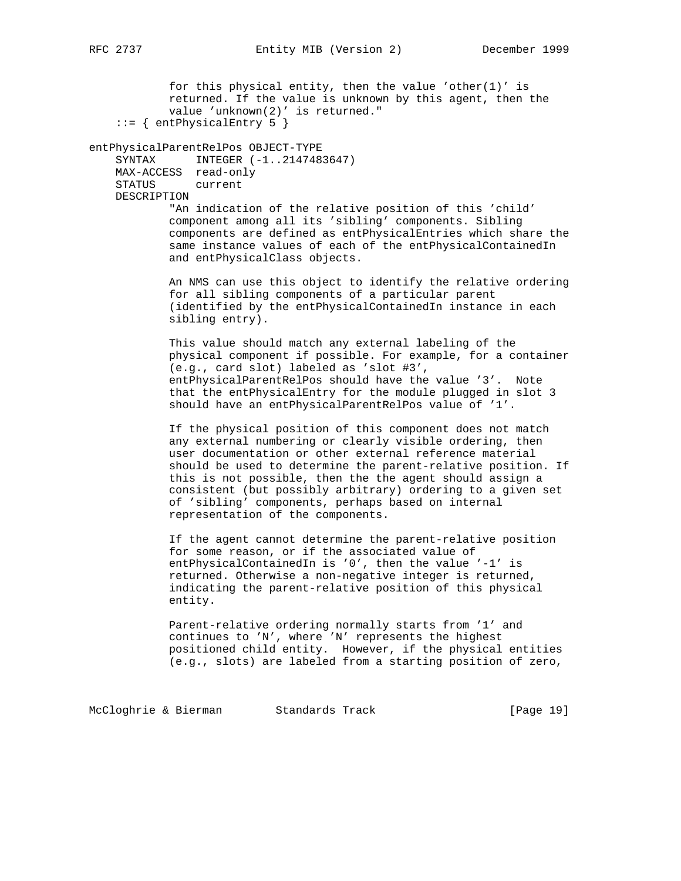for this physical entity, then the value 'other(1)' is returned. If the value is unknown by this agent, then the value 'unknown(2)' is returned."  $::=$  { entPhysicalEntry 5 } entPhysicalParentRelPos OBJECT-TYPE SYNTAX INTEGER (-1..2147483647) MAX-ACCESS read-only STATUS current DESCRIPTION "An indication of the relative position of this 'child' component among all its 'sibling' components. Sibling components are defined as entPhysicalEntries which share the same instance values of each of the entPhysicalContainedIn and entPhysicalClass objects. An NMS can use this object to identify the relative ordering for all sibling components of a particular parent (identified by the entPhysicalContainedIn instance in each sibling entry). This value should match any external labeling of the physical component if possible. For example, for a container (e.g., card slot) labeled as 'slot #3', entPhysicalParentRelPos should have the value '3'. Note that the entPhysicalEntry for the module plugged in slot 3 should have an entPhysicalParentRelPos value of '1'. If the physical position of this component does not match any external numbering or clearly visible ordering, then user documentation or other external reference material should be used to determine the parent-relative position. If this is not possible, then the the agent should assign a consistent (but possibly arbitrary) ordering to a given set of 'sibling' components, perhaps based on internal representation of the components. If the agent cannot determine the parent-relative position for some reason, or if the associated value of entPhysicalContainedIn is '0', then the value '-1' is returned. Otherwise a non-negative integer is returned, indicating the parent-relative position of this physical entity. Parent-relative ordering normally starts from '1' and continues to 'N', where 'N' represents the highest positioned child entity. However, if the physical entities (e.g., slots) are labeled from a starting position of zero,

McCloghrie & Bierman Standards Track [Page 19]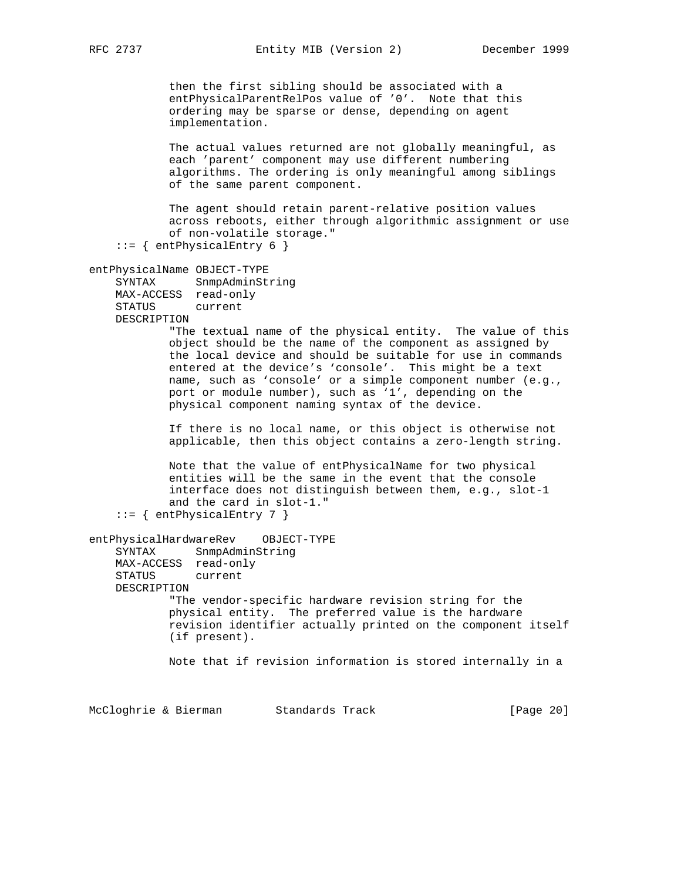RFC 2737 **Entity MIB** (Version 2) December 1999

 then the first sibling should be associated with a entPhysicalParentRelPos value of '0'. Note that this ordering may be sparse or dense, depending on agent implementation.

 The actual values returned are not globally meaningful, as each 'parent' component may use different numbering algorithms. The ordering is only meaningful among siblings of the same parent component.

 The agent should retain parent-relative position values across reboots, either through algorithmic assignment or use of non-volatile storage."

```
::= { entPhysicalEntry 6 }
```

```
entPhysicalName OBJECT-TYPE
```
 SYNTAX SnmpAdminString MAX-ACCESS read-only STATUS current DESCRIPTION

 "The textual name of the physical entity. The value of this object should be the name of the component as assigned by the local device and should be suitable for use in commands entered at the device's 'console'. This might be a text name, such as 'console' or a simple component number (e.g., port or module number), such as '1', depending on the physical component naming syntax of the device.

> If there is no local name, or this object is otherwise not applicable, then this object contains a zero-length string.

 Note that the value of entPhysicalName for two physical entities will be the same in the event that the console interface does not distinguish between them, e.g., slot-1 and the card in slot-1."

```
 ::= { entPhysicalEntry 7 }
```
entPhysicalHardwareRev OBJECT-TYPE SYNTAX SnmpAdminString MAX-ACCESS read-only STATUS current DESCRIPTION "The vendor-specific hardware revision string for the physical entity. The preferred value is the hardware revision identifier actually printed on the component itself (if present).

Note that if revision information is stored internally in a

McCloghrie & Bierman Standards Track [Page 20]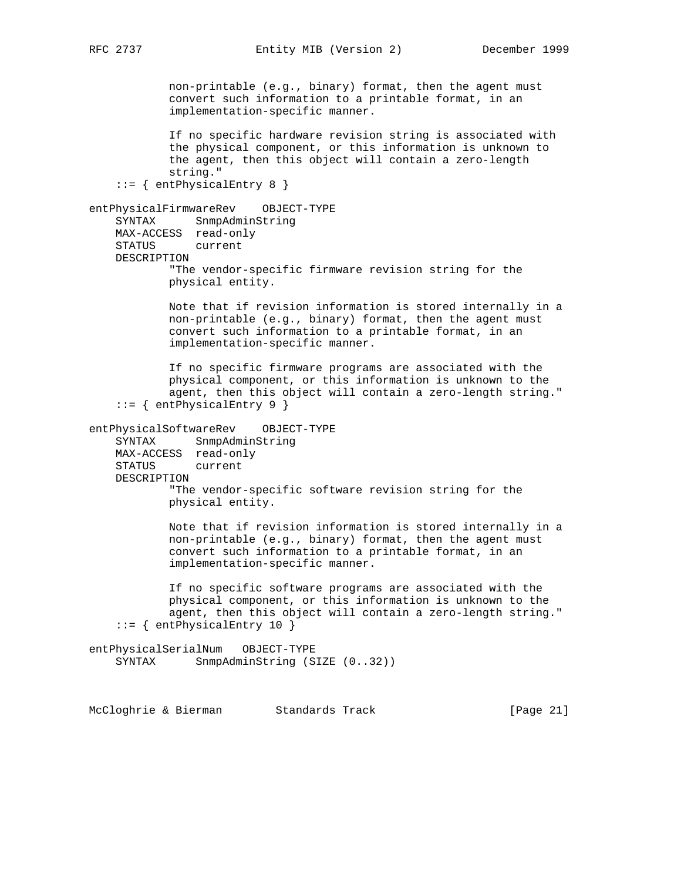non-printable (e.g., binary) format, then the agent must convert such information to a printable format, in an implementation-specific manner. If no specific hardware revision string is associated with the physical component, or this information is unknown to the agent, then this object will contain a zero-length string." ::= { entPhysicalEntry 8 } entPhysicalFirmwareRev OBJECT-TYPE SYNTAX SnmpAdminString MAX-ACCESS read-only STATUS current DESCRIPTION "The vendor-specific firmware revision string for the physical entity. Note that if revision information is stored internally in a non-printable (e.g., binary) format, then the agent must convert such information to a printable format, in an implementation-specific manner. If no specific firmware programs are associated with the physical component, or this information is unknown to the agent, then this object will contain a zero-length string." ::= { entPhysicalEntry 9 } entPhysicalSoftwareRev OBJECT-TYPE SYNTAX SnmpAdminString MAX-ACCESS read-only STATUS current DESCRIPTION "The vendor-specific software revision string for the physical entity. Note that if revision information is stored internally in a non-printable (e.g., binary) format, then the agent must convert such information to a printable format, in an implementation-specific manner. If no specific software programs are associated with the physical component, or this information is unknown to the agent, then this object will contain a zero-length string." ::= { entPhysicalEntry 10 } entPhysicalSerialNum OBJECT-TYPE SYNTAX SnmpAdminString (SIZE (0..32))

McCloghrie & Bierman Standards Track [Page 21]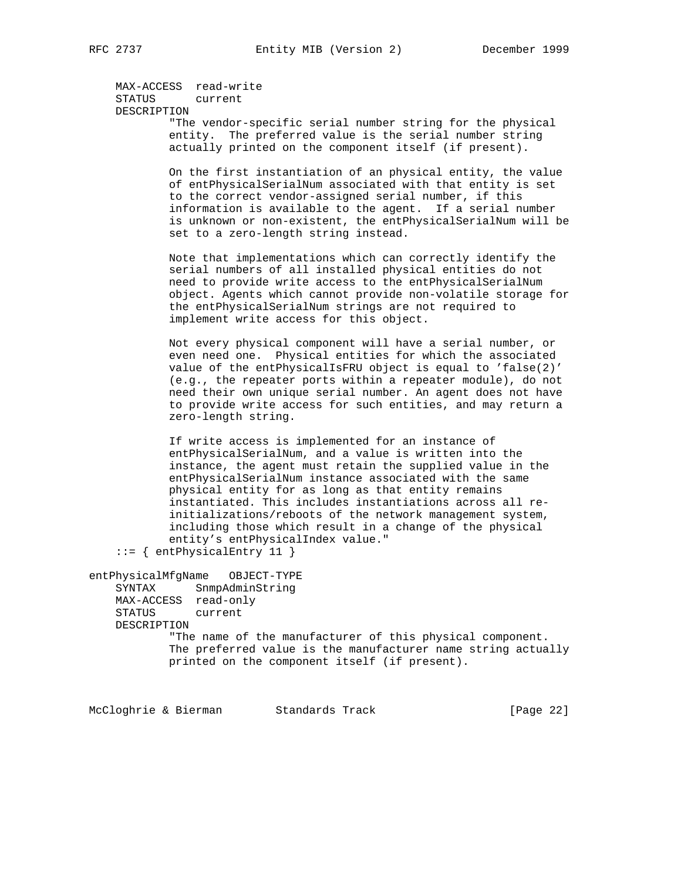MAX-ACCESS read-write STATUS current DESCRIPTION "The vendor-specific serial number string for the physical entity. The preferred value is the serial number string actually printed on the component itself (if present). On the first instantiation of an physical entity, the value of entPhysicalSerialNum associated with that entity is set to the correct vendor-assigned serial number, if this information is available to the agent. If a serial number is unknown or non-existent, the entPhysicalSerialNum will be set to a zero-length string instead. Note that implementations which can correctly identify the serial numbers of all installed physical entities do not need to provide write access to the entPhysicalSerialNum object. Agents which cannot provide non-volatile storage for the entPhysicalSerialNum strings are not required to implement write access for this object. Not every physical component will have a serial number, or even need one. Physical entities for which the associated value of the entPhysicalIsFRU object is equal to 'false(2)' (e.g., the repeater ports within a repeater module), do not need their own unique serial number. An agent does not have to provide write access for such entities, and may return a zero-length string. If write access is implemented for an instance of entPhysicalSerialNum, and a value is written into the instance, the agent must retain the supplied value in the entPhysicalSerialNum instance associated with the same physical entity for as long as that entity remains instantiated. This includes instantiations across all re initializations/reboots of the network management system, including those which result in a change of the physical entity's entPhysicalIndex value." ::= { entPhysicalEntry 11 } entPhysicalMfgName OBJECT-TYPE SYNTAX SnmpAdminString MAX-ACCESS read-only STATUS current DESCRIPTION "The name of the manufacturer of this physical component. The preferred value is the manufacturer name string actually printed on the component itself (if present).

McCloghrie & Bierman Standards Track [Page 22]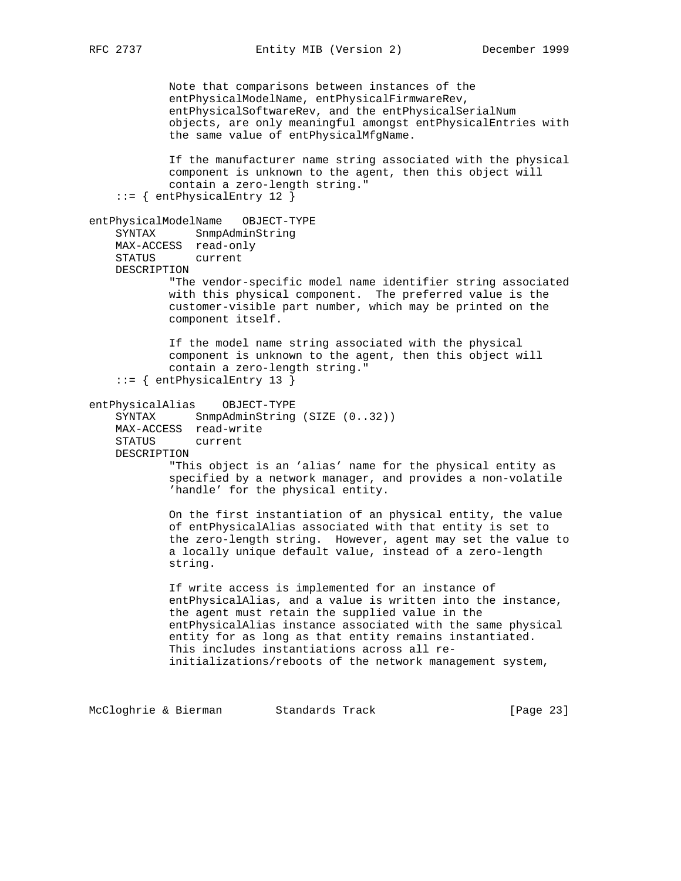RFC 2737 Entity MIB (Version 2) December 1999

 Note that comparisons between instances of the entPhysicalModelName, entPhysicalFirmwareRev, entPhysicalSoftwareRev, and the entPhysicalSerialNum objects, are only meaningful amongst entPhysicalEntries with the same value of entPhysicalMfgName. If the manufacturer name string associated with the physical component is unknown to the agent, then this object will contain a zero-length string." ::= { entPhysicalEntry 12 } entPhysicalModelName OBJECT-TYPE SYNTAX SnmpAdminString MAX-ACCESS read-only STATUS current DESCRIPTION "The vendor-specific model name identifier string associated with this physical component. The preferred value is the customer-visible part number, which may be printed on the component itself. If the model name string associated with the physical component is unknown to the agent, then this object will contain a zero-length string." ::= { entPhysicalEntry 13 } entPhysicalAlias OBJECT-TYPE SYNTAX SnmpAdminString (SIZE (0..32)) MAX-ACCESS read-write STATUS current DESCRIPTION "This object is an 'alias' name for the physical entity as specified by a network manager, and provides a non-volatile 'handle' for the physical entity. On the first instantiation of an physical entity, the value of entPhysicalAlias associated with that entity is set to the zero-length string. However, agent may set the value to a locally unique default value, instead of a zero-length string. If write access is implemented for an instance of entPhysicalAlias, and a value is written into the instance, the agent must retain the supplied value in the entPhysicalAlias instance associated with the same physical entity for as long as that entity remains instantiated. This includes instantiations across all re initializations/reboots of the network management system,

McCloghrie & Bierman Standards Track [Page 23]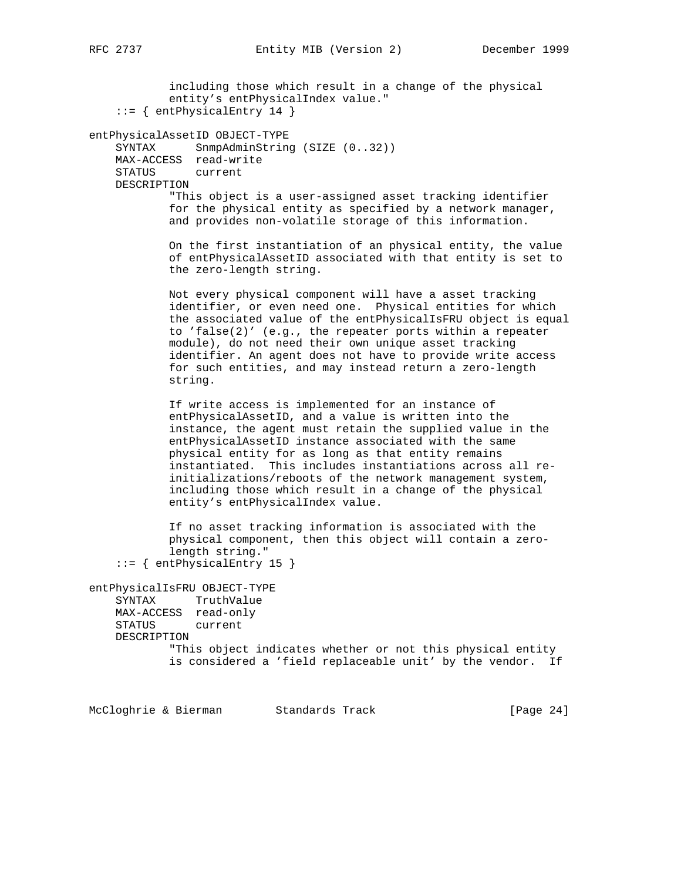including those which result in a change of the physical entity's entPhysicalIndex value." ::= { entPhysicalEntry 14 } entPhysicalAssetID OBJECT-TYPE SYNTAX SnmpAdminString (SIZE (0..32)) MAX-ACCESS read-write STATUS current DESCRIPTION "This object is a user-assigned asset tracking identifier for the physical entity as specified by a network manager, and provides non-volatile storage of this information. On the first instantiation of an physical entity, the value of entPhysicalAssetID associated with that entity is set to the zero-length string. Not every physical component will have a asset tracking identifier, or even need one. Physical entities for which the associated value of the entPhysicalIsFRU object is equal to 'false(2)' (e.g., the repeater ports within a repeater module), do not need their own unique asset tracking identifier. An agent does not have to provide write access for such entities, and may instead return a zero-length string. If write access is implemented for an instance of entPhysicalAssetID, and a value is written into the instance, the agent must retain the supplied value in the entPhysicalAssetID instance associated with the same physical entity for as long as that entity remains instantiated. This includes instantiations across all re initializations/reboots of the network management system, including those which result in a change of the physical entity's entPhysicalIndex value. If no asset tracking information is associated with the physical component, then this object will contain a zero length string." ::= { entPhysicalEntry 15 } entPhysicalIsFRU OBJECT-TYPE SYNTAX TruthValue MAX-ACCESS read-only STATUS current DESCRIPTION "This object indicates whether or not this physical entity is considered a 'field replaceable unit' by the vendor. If

McCloghrie & Bierman Standards Track [Page 24]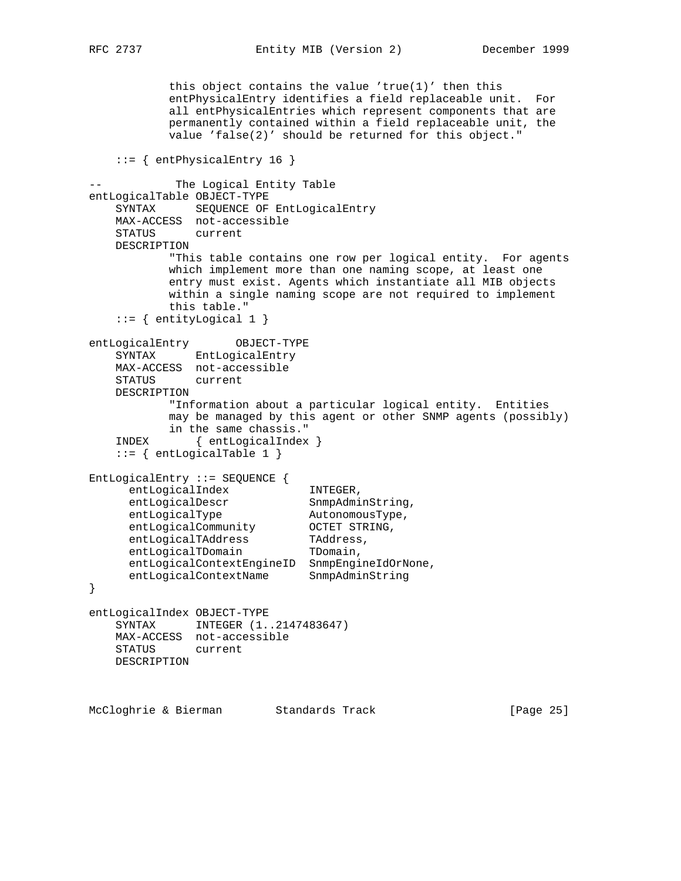this object contains the value 'true(1)' then this entPhysicalEntry identifies a field replaceable unit. For all entPhysicalEntries which represent components that are permanently contained within a field replaceable unit, the value 'false(2)' should be returned for this object." ::= { entPhysicalEntry 16 } The Logical Entity Table entLogicalTable OBJECT-TYPE SYNTAX SEQUENCE OF EntLogicalEntry MAX-ACCESS not-accessible STATUS current DESCRIPTION "This table contains one row per logical entity. For agents which implement more than one naming scope, at least one entry must exist. Agents which instantiate all MIB objects within a single naming scope are not required to implement this table."  $::=$  { entityLogical 1 } entLogicalEntry OBJECT-TYPE SYNTAX EntLogicalEntry MAX-ACCESS not-accessible STATUS current DESCRIPTION "Information about a particular logical entity. Entities may be managed by this agent or other SNMP agents (possibly) in the same chassis." INDEX { entLogicalIndex } ::= { entLogicalTable 1 } EntLogicalEntry ::= SEQUENCE { entLogicalIndex INTEGER, entLogicalDescr SnmpAdminString, entLogicalType AutonomousType, entLogicalCommunity OCTET STRING, entLogicalTAddress TAddress, entLogicalTDomain TDomain, entLogicalContextEngineID SnmpEngineIdOrNone, entLogicalContextName SnmpAdminString } entLogicalIndex OBJECT-TYPE SYNTAX INTEGER (1..2147483647) MAX-ACCESS not-accessible STATUS current DESCRIPTION McCloghrie & Bierman Standards Track [Page 25]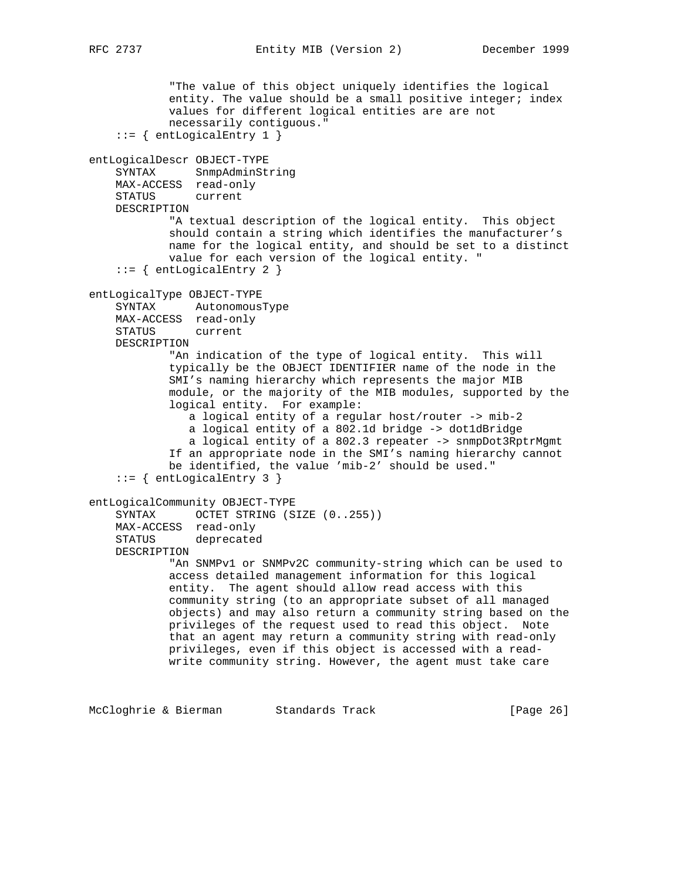```
 "The value of this object uniquely identifies the logical
           entity. The value should be a small positive integer; index
            values for different logical entities are are not
            necessarily contiguous."
    ::= { entLogicalEntry 1 }
entLogicalDescr OBJECT-TYPE
    SYNTAX SnmpAdminString
    MAX-ACCESS read-only
     STATUS current
    DESCRIPTION
            "A textual description of the logical entity. This object
            should contain a string which identifies the manufacturer's
            name for the logical entity, and should be set to a distinct
            value for each version of the logical entity. "
    ::= { entLogicalEntry 2 }
entLogicalType OBJECT-TYPE
    SYNTAX AutonomousType
    MAX-ACCESS read-only
    STATUS current
    DESCRIPTION
             "An indication of the type of logical entity. This will
             typically be the OBJECT IDENTIFIER name of the node in the
            SMI's naming hierarchy which represents the major MIB
            module, or the majority of the MIB modules, supported by the
             logical entity. For example:
                a logical entity of a regular host/router -> mib-2
                a logical entity of a 802.1d bridge -> dot1dBridge
                a logical entity of a 802.3 repeater -> snmpDot3RptrMgmt
            If an appropriate node in the SMI's naming hierarchy cannot
            be identified, the value 'mib-2' should be used."
    ::= { entLogicalEntry 3 }
entLogicalCommunity OBJECT-TYPE
     SYNTAX OCTET STRING (SIZE (0..255))
    MAX-ACCESS read-only
     STATUS deprecated
    DESCRIPTION
             "An SNMPv1 or SNMPv2C community-string which can be used to
            access detailed management information for this logical
            entity. The agent should allow read access with this
            community string (to an appropriate subset of all managed
            objects) and may also return a community string based on the
            privileges of the request used to read this object. Note
            that an agent may return a community string with read-only
            privileges, even if this object is accessed with a read-
            write community string. However, the agent must take care
```
McCloghrie & Bierman Standards Track [Page 26]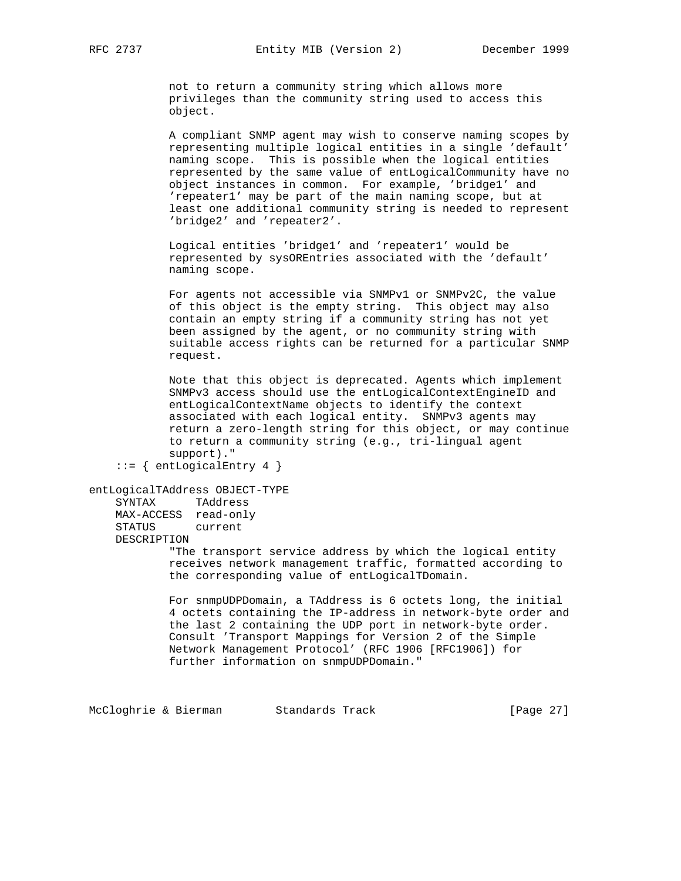not to return a community string which allows more privileges than the community string used to access this object.

 A compliant SNMP agent may wish to conserve naming scopes by representing multiple logical entities in a single 'default' naming scope. This is possible when the logical entities represented by the same value of entLogicalCommunity have no object instances in common. For example, 'bridge1' and 'repeater1' may be part of the main naming scope, but at least one additional community string is needed to represent 'bridge2' and 'repeater2'.

 Logical entities 'bridge1' and 'repeater1' would be represented by sysOREntries associated with the 'default' naming scope.

 For agents not accessible via SNMPv1 or SNMPv2C, the value of this object is the empty string. This object may also contain an empty string if a community string has not yet been assigned by the agent, or no community string with suitable access rights can be returned for a particular SNMP request.

 Note that this object is deprecated. Agents which implement SNMPv3 access should use the entLogicalContextEngineID and entLogicalContextName objects to identify the context associated with each logical entity. SNMPv3 agents may return a zero-length string for this object, or may continue to return a community string (e.g., tri-lingual agent support)."

```
::= { entLogicalEntry 4 }
```

```
entLogicalTAddress OBJECT-TYPE
```
 SYNTAX TAddress MAX-ACCESS read-only STATUS current DESCRIPTION

> "The transport service address by which the logical entity receives network management traffic, formatted according to the corresponding value of entLogicalTDomain.

 For snmpUDPDomain, a TAddress is 6 octets long, the initial 4 octets containing the IP-address in network-byte order and the last 2 containing the UDP port in network-byte order. Consult 'Transport Mappings for Version 2 of the Simple Network Management Protocol' (RFC 1906 [RFC1906]) for further information on snmpUDPDomain."

McCloghrie & Bierman Standards Track [Page 27]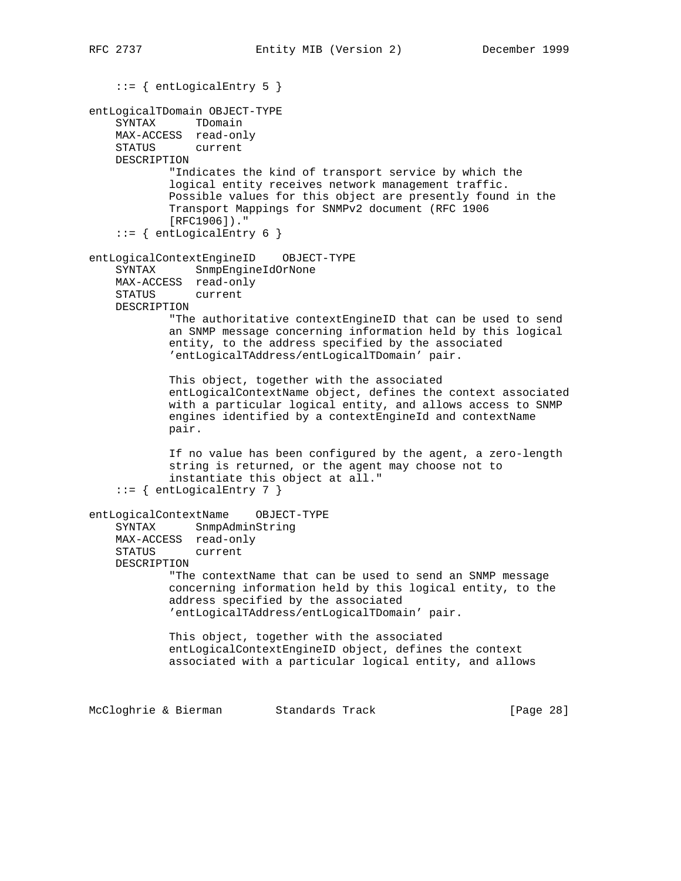```
 ::= { entLogicalEntry 5 }
entLogicalTDomain OBJECT-TYPE
     SYNTAX TDomain
    MAX-ACCESS read-only
     STATUS current
    DESCRIPTION
            "Indicates the kind of transport service by which the
            logical entity receives network management traffic.
            Possible values for this object are presently found in the
            Transport Mappings for SNMPv2 document (RFC 1906
            [RFC1906])."
     ::= { entLogicalEntry 6 }
entLogicalContextEngineID OBJECT-TYPE
     SYNTAX SnmpEngineIdOrNone
    MAX-ACCESS read-only
    STATUS current
    DESCRIPTION
            "The authoritative contextEngineID that can be used to send
            an SNMP message concerning information held by this logical
            entity, to the address specified by the associated
            'entLogicalTAddress/entLogicalTDomain' pair.
            This object, together with the associated
            entLogicalContextName object, defines the context associated
            with a particular logical entity, and allows access to SNMP
            engines identified by a contextEngineId and contextName
            pair.
            If no value has been configured by the agent, a zero-length
            string is returned, or the agent may choose not to
             instantiate this object at all."
     ::= { entLogicalEntry 7 }
entLogicalContextName OBJECT-TYPE
     SYNTAX SnmpAdminString
    MAX-ACCESS read-only
     STATUS current
    DESCRIPTION
            "The contextName that can be used to send an SNMP message
            concerning information held by this logical entity, to the
            address specified by the associated
            'entLogicalTAddress/entLogicalTDomain' pair.
            This object, together with the associated
            entLogicalContextEngineID object, defines the context
            associated with a particular logical entity, and allows
McCloghrie & Bierman Standards Track [Page 28]
```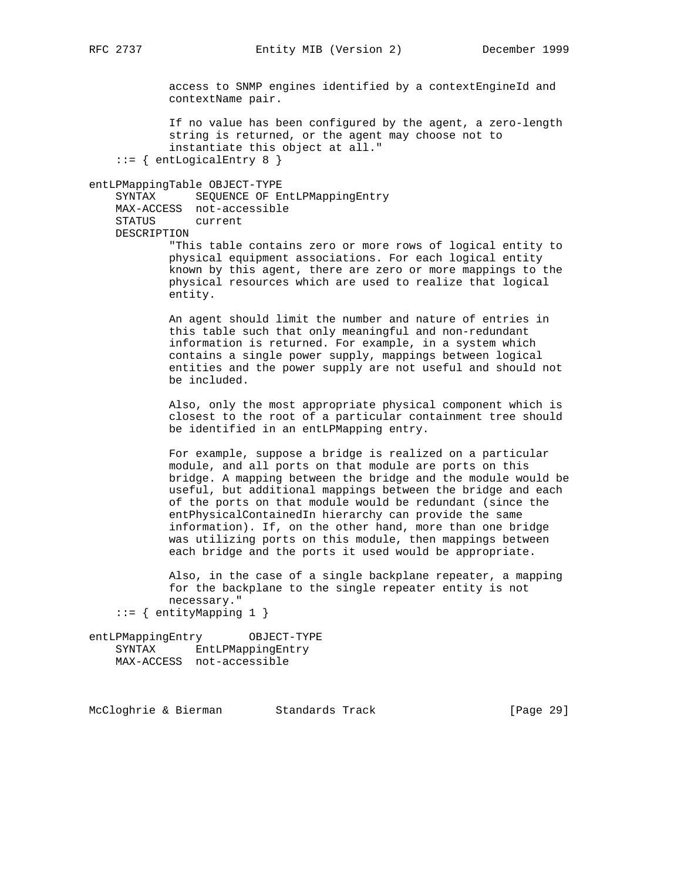access to SNMP engines identified by a contextEngineId and contextName pair.

 If no value has been configured by the agent, a zero-length string is returned, or the agent may choose not to instantiate this object at all." ::= { entLogicalEntry 8 }

#### entLPMappingTable OBJECT-TYPE

 SYNTAX SEQUENCE OF EntLPMappingEntry MAX-ACCESS not-accessible STATUS current DESCRIPTION

 "This table contains zero or more rows of logical entity to physical equipment associations. For each logical entity known by this agent, there are zero or more mappings to the physical resources which are used to realize that logical entity.

 An agent should limit the number and nature of entries in this table such that only meaningful and non-redundant information is returned. For example, in a system which contains a single power supply, mappings between logical entities and the power supply are not useful and should not be included.

 Also, only the most appropriate physical component which is closest to the root of a particular containment tree should be identified in an entLPMapping entry.

 For example, suppose a bridge is realized on a particular module, and all ports on that module are ports on this bridge. A mapping between the bridge and the module would be useful, but additional mappings between the bridge and each of the ports on that module would be redundant (since the entPhysicalContainedIn hierarchy can provide the same information). If, on the other hand, more than one bridge was utilizing ports on this module, then mappings between each bridge and the ports it used would be appropriate.

 Also, in the case of a single backplane repeater, a mapping for the backplane to the single repeater entity is not necessary."

```
::= { entityMapping 1 }
```
entLPMappingEntry OBJECT-TYPE SYNTAX EntLPMappingEntry MAX-ACCESS not-accessible

McCloghrie & Bierman Standards Track [Page 29]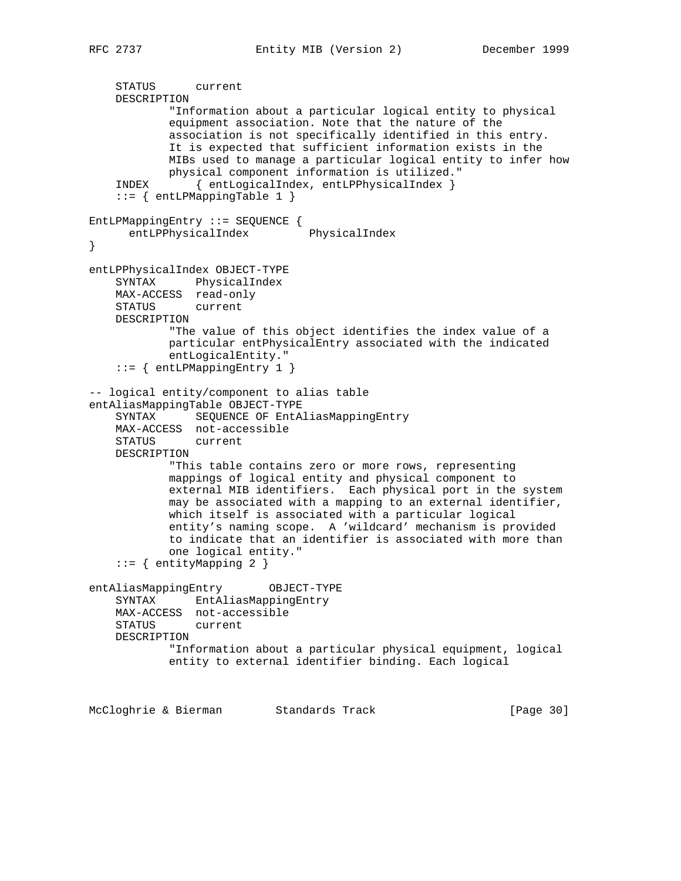```
 STATUS current
    DESCRIPTION
            "Information about a particular logical entity to physical
            equipment association. Note that the nature of the
            association is not specifically identified in this entry.
            It is expected that sufficient information exists in the
            MIBs used to manage a particular logical entity to infer how
            physical component information is utilized."
     INDEX { entLogicalIndex, entLPPhysicalIndex }
     ::= { entLPMappingTable 1 }
EntLPMappingEntry ::= SEQUENCE {
      entLPPhysicalIndex PhysicalIndex
}
entLPPhysicalIndex OBJECT-TYPE
    SYNTAX PhysicalIndex
    MAX-ACCESS read-only
    STATUS current
    DESCRIPTION
            "The value of this object identifies the index value of a
            particular entPhysicalEntry associated with the indicated
            entLogicalEntity."
     ::= { entLPMappingEntry 1 }
-- logical entity/component to alias table
entAliasMappingTable OBJECT-TYPE
     SYNTAX SEQUENCE OF EntAliasMappingEntry
    MAX-ACCESS not-accessible
    STATUS current
    DESCRIPTION
            "This table contains zero or more rows, representing
            mappings of logical entity and physical component to
            external MIB identifiers. Each physical port in the system
            may be associated with a mapping to an external identifier,
            which itself is associated with a particular logical
            entity's naming scope. A 'wildcard' mechanism is provided
            to indicate that an identifier is associated with more than
            one logical entity."
     ::= { entityMapping 2 }
entAliasMappingEntry OBJECT-TYPE
    SYNTAX EntAliasMappingEntry
    MAX-ACCESS not-accessible
    STATUS current
    DESCRIPTION
            "Information about a particular physical equipment, logical
            entity to external identifier binding. Each logical
McCloghrie & Bierman Standards Track [Page 30]
```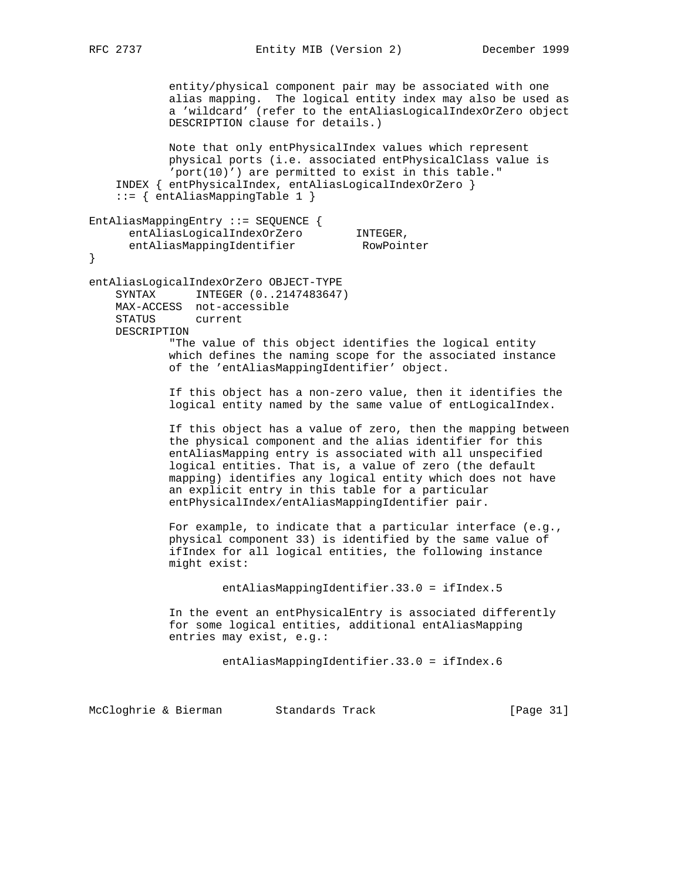```
 entity/physical component pair may be associated with one
            alias mapping. The logical entity index may also be used as
            a 'wildcard' (refer to the entAliasLogicalIndexOrZero object
            DESCRIPTION clause for details.)
            Note that only entPhysicalIndex values which represent
            physical ports (i.e. associated entPhysicalClass value is
             'port(10)') are permitted to exist in this table."
     INDEX { entPhysicalIndex, entAliasLogicalIndexOrZero }
     ::= { entAliasMappingTable 1 }
EntAliasMappingEntry ::= SEQUENCE {
entAliasLogicalIndexOrZero INTEGER,
 entAliasMappingIdentifier RowPointer
}
entAliasLogicalIndexOrZero OBJECT-TYPE
     SYNTAX INTEGER (0..2147483647)
    MAX-ACCESS not-accessible
    STATUS current
    DESCRIPTION
            "The value of this object identifies the logical entity
            which defines the naming scope for the associated instance
            of the 'entAliasMappingIdentifier' object.
             If this object has a non-zero value, then it identifies the
             logical entity named by the same value of entLogicalIndex.
            If this object has a value of zero, then the mapping between
            the physical component and the alias identifier for this
            entAliasMapping entry is associated with all unspecified
            logical entities. That is, a value of zero (the default
            mapping) identifies any logical entity which does not have
            an explicit entry in this table for a particular
            entPhysicalIndex/entAliasMappingIdentifier pair.
            For example, to indicate that a particular interface (e.g.,
            physical component 33) is identified by the same value of
             ifIndex for all logical entities, the following instance
            might exist:
                     entAliasMappingIdentifier.33.0 = ifIndex.5
             In the event an entPhysicalEntry is associated differently
            for some logical entities, additional entAliasMapping
            entries may exist, e.g.:
                    entAliasMappingIdentifier.33.0 = ifIndex.6
```
McCloghrie & Bierman Standards Track [Page 31]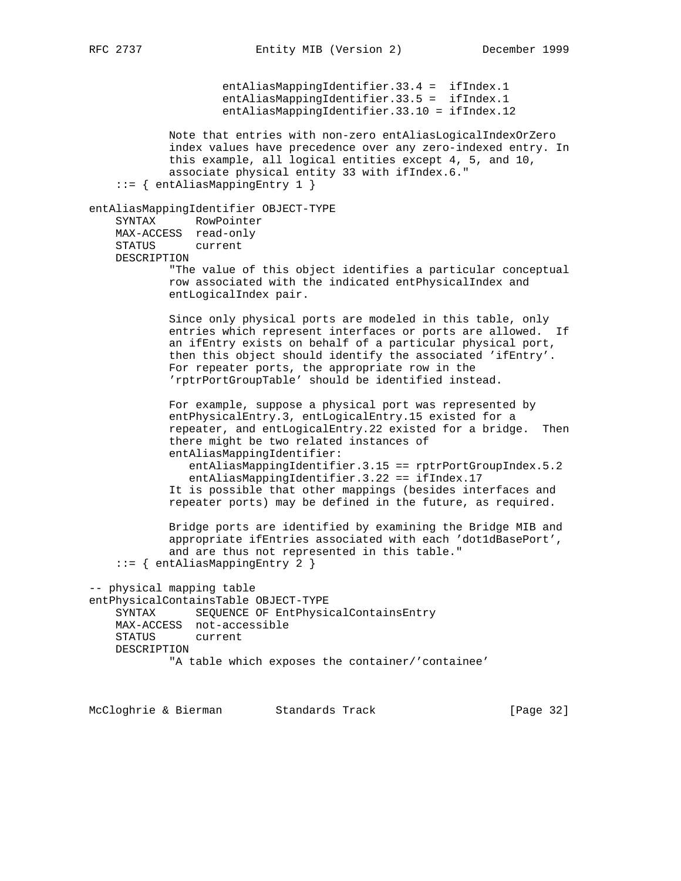```
 entAliasMappingIdentifier.33.4 = ifIndex.1
                     entAliasMappingIdentifier.33.5 = ifIndex.1
                     entAliasMappingIdentifier.33.10 = ifIndex.12
             Note that entries with non-zero entAliasLogicalIndexOrZero
             index values have precedence over any zero-indexed entry. In
             this example, all logical entities except 4, 5, and 10,
             associate physical entity 33 with ifIndex.6."
     ::= { entAliasMappingEntry 1 }
entAliasMappingIdentifier OBJECT-TYPE
    SYNTAX RowPointer
    MAX-ACCESS read-only
     STATUS current
    DESCRIPTION
            "The value of this object identifies a particular conceptual
            row associated with the indicated entPhysicalIndex and
             entLogicalIndex pair.
             Since only physical ports are modeled in this table, only
             entries which represent interfaces or ports are allowed. If
             an ifEntry exists on behalf of a particular physical port,
             then this object should identify the associated 'ifEntry'.
             For repeater ports, the appropriate row in the
             'rptrPortGroupTable' should be identified instead.
             For example, suppose a physical port was represented by
             entPhysicalEntry.3, entLogicalEntry.15 existed for a
             repeater, and entLogicalEntry.22 existed for a bridge. Then
             there might be two related instances of
             entAliasMappingIdentifier:
                entAliasMappingIdentifier.3.15 == rptrPortGroupIndex.5.2
                entAliasMappingIdentifier.3.22 == ifIndex.17
             It is possible that other mappings (besides interfaces and
             repeater ports) may be defined in the future, as required.
             Bridge ports are identified by examining the Bridge MIB and
             appropriate ifEntries associated with each 'dot1dBasePort',
             and are thus not represented in this table."
     ::= { entAliasMappingEntry 2 }
-- physical mapping table
entPhysicalContainsTable OBJECT-TYPE
    SYNTAX SEQUENCE OF EntPhysicalContainsEntry
    MAX-ACCESS not-accessible
    STATUS current
    DESCRIPTION
            "A table which exposes the container/'containee'
```
McCloghrie & Bierman Standards Track [Page 32]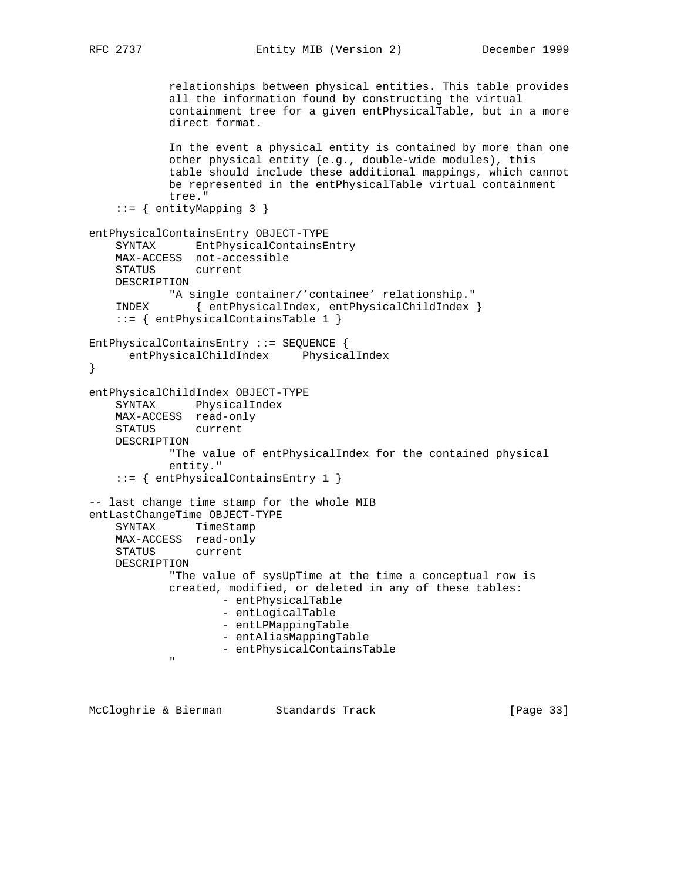```
 relationships between physical entities. This table provides
              all the information found by constructing the virtual
              containment tree for a given entPhysicalTable, but in a more
              direct format.
              In the event a physical entity is contained by more than one
              other physical entity (e.g., double-wide modules), this
              table should include these additional mappings, which cannot
              be represented in the entPhysicalTable virtual containment
              tree."
     ::= { entityMapping 3 }
entPhysicalContainsEntry OBJECT-TYPE
     SYNTAX EntPhysicalContainsEntry
     MAX-ACCESS not-accessible
     STATUS current
     DESCRIPTION
            "A single container/'containee' relationship."
     INDEX { entPhysicalIndex, entPhysicalChildIndex }
     ::= { entPhysicalContainsTable 1 }
EntPhysicalContainsEntry ::= SEQUENCE {
       entPhysicalChildIndex PhysicalIndex
}
entPhysicalChildIndex OBJECT-TYPE
     SYNTAX PhysicalIndex
     MAX-ACCESS read-only
     STATUS current
     DESCRIPTION
              "The value of entPhysicalIndex for the contained physical
              entity."
     ::= { entPhysicalContainsEntry 1 }
-- last change time stamp for the whole MIB
entLastChangeTime OBJECT-TYPE
     SYNTAX TimeStamp
     MAX-ACCESS read-only
     STATUS current
     DESCRIPTION
              "The value of sysUpTime at the time a conceptual row is
              created, modified, or deleted in any of these tables:
                       - entPhysicalTable
                       - entLogicalTable
                       - entLPMappingTable
                       - entAliasMappingTable
              - entPhysicalContainsTable
" "The Contract of the Contract of the Contract of the Contract of the Contract of the Contract of the Contract of the Contract of the Contract of the Contract of the Contract of the Contract of the Contract of the Contrac
```
McCloghrie & Bierman Standards Track [Page 33]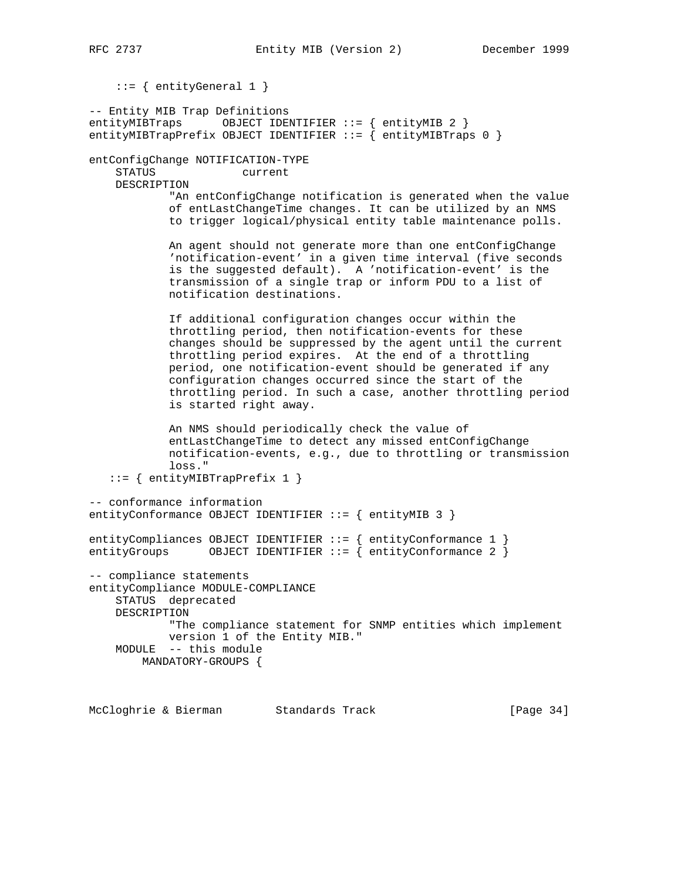::= { entityGeneral 1 } -- Entity MIB Trap Definitions entityMIBTraps OBJECT IDENTIFIER ::= { entityMIB 2 } entityMIBTrapPrefix OBJECT IDENTIFIER  $::=$  { entityMIBTraps 0 } entConfigChange NOTIFICATION-TYPE STATUS current DESCRIPTION "An entConfigChange notification is generated when the value of entLastChangeTime changes. It can be utilized by an NMS to trigger logical/physical entity table maintenance polls. An agent should not generate more than one entConfigChange 'notification-event' in a given time interval (five seconds is the suggested default). A 'notification-event' is the transmission of a single trap or inform PDU to a list of notification destinations. If additional configuration changes occur within the throttling period, then notification-events for these changes should be suppressed by the agent until the current throttling period expires. At the end of a throttling period, one notification-event should be generated if any configuration changes occurred since the start of the throttling period. In such a case, another throttling period is started right away. An NMS should periodically check the value of entLastChangeTime to detect any missed entConfigChange notification-events, e.g., due to throttling or transmission loss." ::= { entityMIBTrapPrefix 1 } -- conformance information entityConformance OBJECT IDENTIFIER ::= { entityMIB 3 } entityCompliances OBJECT IDENTIFIER ::= { entityConformance 1 } entityGroups OBJECT IDENTIFIER ::= { entityConformance 2 } -- compliance statements entityCompliance MODULE-COMPLIANCE STATUS deprecated DESCRIPTION "The compliance statement for SNMP entities which implement version 1 of the Entity MIB." MODULE -- this module MANDATORY-GROUPS {

McCloghrie & Bierman Standards Track [Page 34]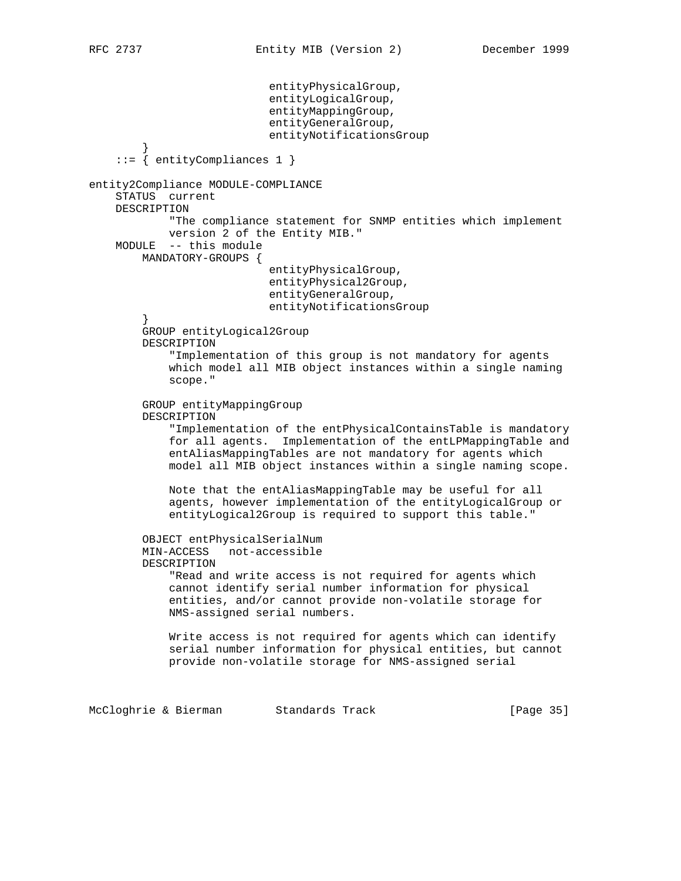```
 entityPhysicalGroup,
                            entityLogicalGroup,
                            entityMappingGroup,
                            entityGeneralGroup,
                            entityNotificationsGroup
 }
     ::= { entityCompliances 1 }
entity2Compliance MODULE-COMPLIANCE
     STATUS current
    DESCRIPTION
             "The compliance statement for SNMP entities which implement
            version 2 of the Entity MIB."
    MODULE -- this module
        MANDATORY-GROUPS {
                            entityPhysicalGroup,
                            entityPhysical2Group,
                            entityGeneralGroup,
                            entityNotificationsGroup
 }
         GROUP entityLogical2Group
         DESCRIPTION
             "Implementation of this group is not mandatory for agents
             which model all MIB object instances within a single naming
             scope."
         GROUP entityMappingGroup
         DESCRIPTION
             "Implementation of the entPhysicalContainsTable is mandatory
             for all agents. Implementation of the entLPMappingTable and
             entAliasMappingTables are not mandatory for agents which
             model all MIB object instances within a single naming scope.
             Note that the entAliasMappingTable may be useful for all
             agents, however implementation of the entityLogicalGroup or
             entityLogical2Group is required to support this table."
         OBJECT entPhysicalSerialNum
         MIN-ACCESS not-accessible
         DESCRIPTION
             "Read and write access is not required for agents which
             cannot identify serial number information for physical
             entities, and/or cannot provide non-volatile storage for
             NMS-assigned serial numbers.
             Write access is not required for agents which can identify
             serial number information for physical entities, but cannot
             provide non-volatile storage for NMS-assigned serial
```
McCloghrie & Bierman Standards Track [Page 35]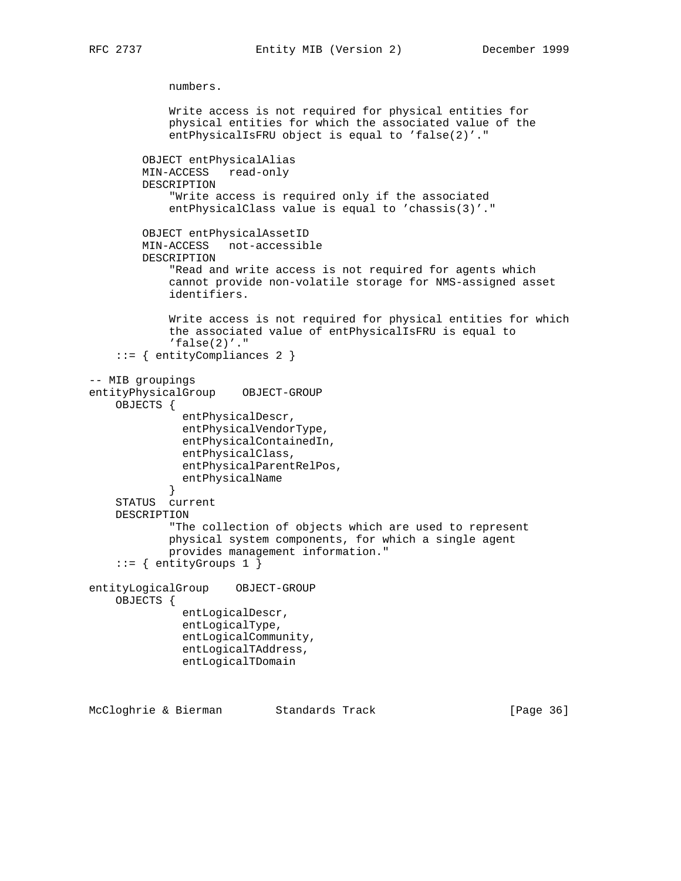numbers. Write access is not required for physical entities for physical entities for which the associated value of the entPhysicalIsFRU object is equal to 'false(2)'." OBJECT entPhysicalAlias MIN-ACCESS read-only DESCRIPTION "Write access is required only if the associated entPhysicalClass value is equal to 'chassis(3)'." OBJECT entPhysicalAssetID MIN-ACCESS not-accessible DESCRIPTION "Read and write access is not required for agents which cannot provide non-volatile storage for NMS-assigned asset identifiers. Write access is not required for physical entities for which the associated value of entPhysicalIsFRU is equal to  $'false(2)'$ ." ::= { entityCompliances 2 } -- MIB groupings entityPhysicalGroup OBJECT-GROUP OBJECTS { entPhysicalDescr, entPhysicalVendorType, entPhysicalContainedIn, entPhysicalClass, entPhysicalParentRelPos, entPhysicalName } STATUS current DESCRIPTION "The collection of objects which are used to represent physical system components, for which a single agent provides management information." ::= { entityGroups 1 } entityLogicalGroup OBJECT-GROUP OBJECTS { entLogicalDescr, entLogicalType, entLogicalCommunity, entLogicalTAddress, entLogicalTDomain

McCloghrie & Bierman Standards Track [Page 36]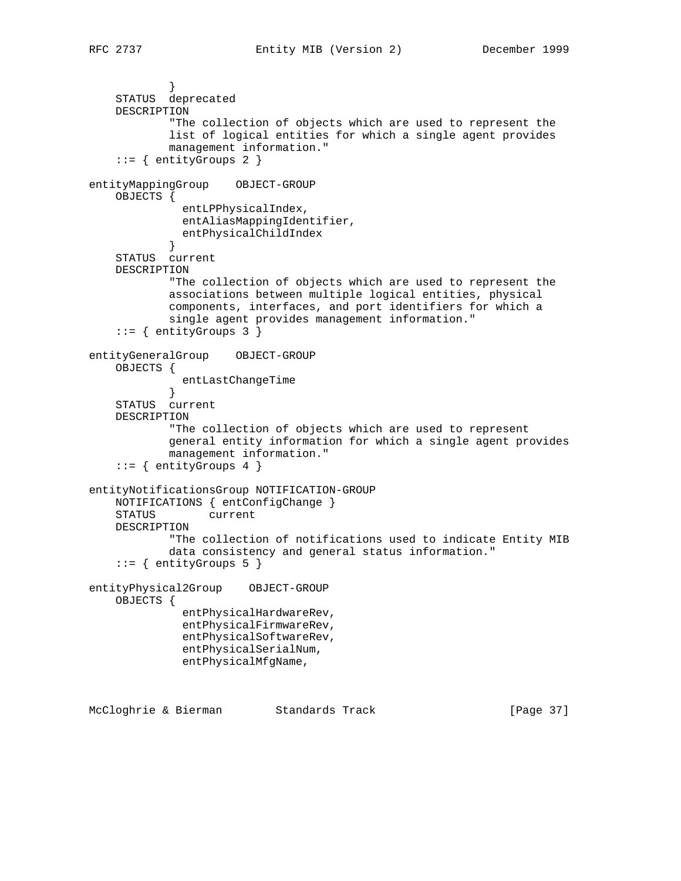```
 }
     STATUS deprecated
     DESCRIPTION
             "The collection of objects which are used to represent the
            list of logical entities for which a single agent provides
            management information."
     ::= { entityGroups 2 }
entityMappingGroup OBJECT-GROUP
    OBJECTS {
              entLPPhysicalIndex,
              entAliasMappingIdentifier,
              entPhysicalChildIndex
 }
     STATUS current
     DESCRIPTION
             "The collection of objects which are used to represent the
            associations between multiple logical entities, physical
            components, interfaces, and port identifiers for which a
            single agent provides management information."
     ::= { entityGroups 3 }
entityGeneralGroup OBJECT-GROUP
     OBJECTS {
              entLastChangeTime
 }
     STATUS current
     DESCRIPTION
             "The collection of objects which are used to represent
            general entity information for which a single agent provides
            management information."
     ::= \{ entityGroups 4 \}entityNotificationsGroup NOTIFICATION-GROUP
    NOTIFICATIONS { entConfigChange }
    STATUS current
    DESCRIPTION
            "The collection of notifications used to indicate Entity MIB
            data consistency and general status information."
    ::= { entityGroups 5 }
entityPhysical2Group OBJECT-GROUP
    OBJECTS {
              entPhysicalHardwareRev,
              entPhysicalFirmwareRev,
              entPhysicalSoftwareRev,
              entPhysicalSerialNum,
              entPhysicalMfgName,
```
McCloghrie & Bierman Standards Track [Page 37]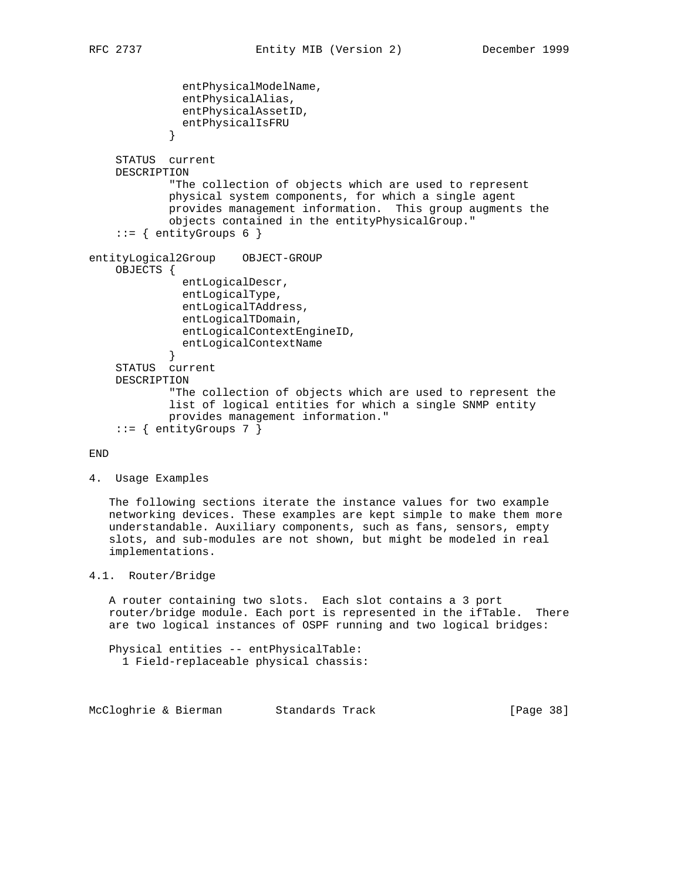```
 entPhysicalModelName,
               entPhysicalAlias,
               entPhysicalAssetID,
               entPhysicalIsFRU
 }
     STATUS current
    DESCRIPTION
             "The collection of objects which are used to represent
            physical system components, for which a single agent
            provides management information. This group augments the
            objects contained in the entityPhysicalGroup."
     ::= { entityGroups 6 }
entityLogical2Group OBJECT-GROUP
    OBJECTS {
               entLogicalDescr,
               entLogicalType,
               entLogicalTAddress,
               entLogicalTDomain,
               entLogicalContextEngineID,
            entLogicalContextName<br>}
 }
     STATUS current
    DESCRIPTION
             "The collection of objects which are used to represent the
             list of logical entities for which a single SNMP entity
            provides management information."
    ::= { entityGroups 7 }
```

```
END
```
4. Usage Examples

 The following sections iterate the instance values for two example networking devices. These examples are kept simple to make them more understandable. Auxiliary components, such as fans, sensors, empty slots, and sub-modules are not shown, but might be modeled in real implementations.

# 4.1. Router/Bridge

 A router containing two slots. Each slot contains a 3 port router/bridge module. Each port is represented in the ifTable. There are two logical instances of OSPF running and two logical bridges:

 Physical entities -- entPhysicalTable: 1 Field-replaceable physical chassis:

McCloghrie & Bierman Standards Track [Page 38]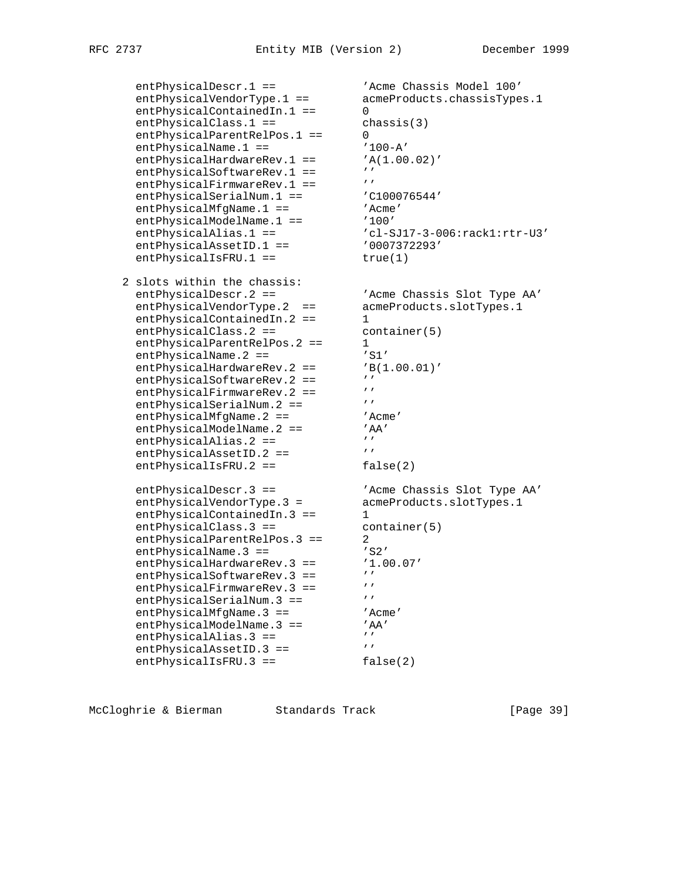entPhysicalDescr.1 == 'Acme Chassis Model 100'<br>entPhysicalVendorType.1 == 'AcmeProducts.chassisType<br>interiorialContainedIn.1 == 0 entPhysicalVendorType.1 == acmeProducts.chassisTypes.1 entPhysicalContainedIn.1 == 0 entPhysicalClass.1 == chassis(3)<br>entPhysicalParentRelPos.1 == 0 entPhysicalParentRelPos.1 == entPhysicalName.1 ==  $'100-A'$ entPhysicalHardwareRev.1 == 'A(1.00.02)' entPhysicalSoftwareRev.1 == ''<br>entPhysicalFirmwareRev.1 == ''' entPhysicalFirmwareRev.1 == '' entPhysicalSerialNum.1 ==  $\qquad$  'C100076544' entPhysicalMfgName.1 == 'Acme' entPhysicalModelName.1 ==  $'100'$  entPhysicalAlias.1 == 'cl-SJ17-3-006:rack1:rtr-U3' entPhysicalAssetID.1 ==  $0007372293'$ entPhysicalIsFRU.1 == true(1) 2 slots within the chassis: entPhysicalDescr.2 == 'Acme Chassis Slot Type AA' entPhysicalVendorType.2 == acmeProducts.slotTypes.1 entPhysicalContainedIn.2 == 1 entPhysicalClass.2 == container(5) entPhysicalParentRelPos.2 == 1  $entPhysicalName.2 ==$  'S1' entPhysicalHardwareRev.2 == 'B(1.00.01)' entPhysicalSoftwareRev.2 == '' entPhysicalFirmwareRev.2 == ''<br>entPhysicalFirmwareRev.2 == '''<br>entPhysicalSerialNum 2 == '''' entPhysicalSerialNum.2 == '''<br>entPhysicalMfqName.2 == ''Acme' entPhysicalMfgName.2 == 'Acme' entPhysicalModelName.2 == 'AA' entPhysicalAlias.2 ==  $'$ entPhysicalAssetID.2 ==  $'$ entPhysicalIsFRU.2 == false(2) entPhysicalDescr.3 == 'Acme Chassis Slot Type AA' entPhysicalVendorType.3 = acmeProducts.slotTypes.1 entPhysicalContainedIn.3 == 1 entPhysicalClass.3 == container(5) entPhysicalParentRelPos.3 == 2 entPhysicalName.3 == 'S2' entPhysicalHardwareRev.3 ==  $'1.00.07'$ <br>entPhysicalSoftwareRev.3 ==  $'$ entPhysicalSoftwareRev.3 == ''<br>entPhysicalFirmwareRev.3 == ''' entPhysicalFirmwareRev.3 == ''<br>entPhysicalSerialNum 3 == ''' entPhysicalSerialNum.3 == '''<br>entPhysicalMfgName.3 == ''Acme' entPhysicalMfgName.3 == 'Acme' entPhysicalModelName.3 == 'AA' entPhysicalAlias.3 ==  $'$ entPhysicalAssetID.3 == ''' entPhysicalIsFRU.3 == false(2)

McCloghrie & Bierman Standards Track [Page 39]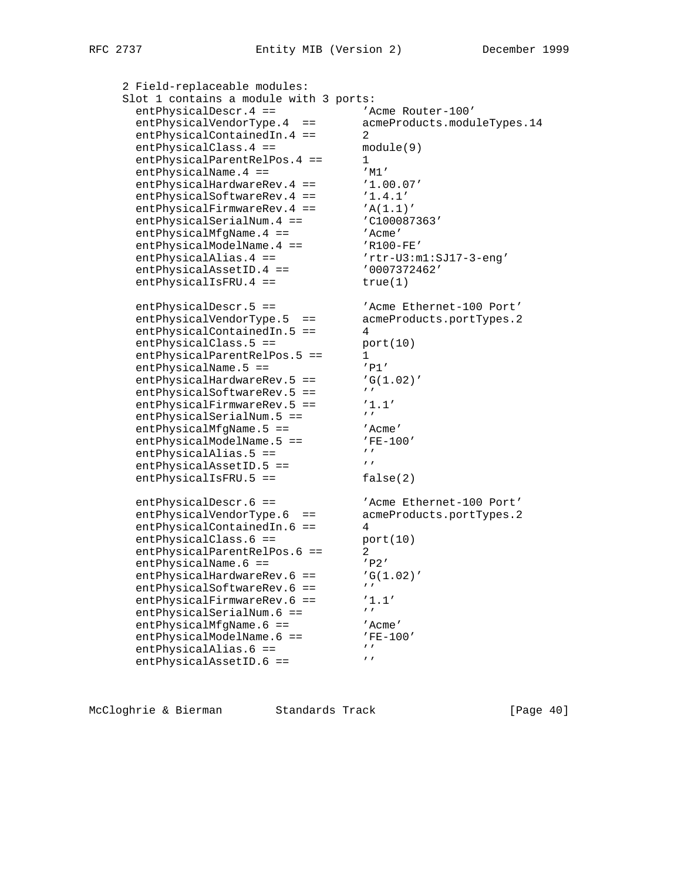```
 2 Field-replaceable modules:
     Slot 1 contains a module with 3 ports:
entPhysicalDescr.4 == \blacksquare 'Acme Router-100'
 entPhysicalVendorType.4 == acmeProducts.moduleTypes.14
entPhysicalContainedIn.4 == 2
     entPhysicalClass.4 == module(9)
     entPhysicalParentRelPos.4 == 1
entPhysicalName.4 == 'M'entPhysicalHardwareRev.4 == '1.00.07'entPhysicalSoftwareRev.4 == '1.4.1'<br>entPhysicalFirmwareRev.4 == 'A(1.1)'
entPhysicalFirmwareRev.4 == 'A(1.1)'
entPhysicalSerialNum.4 == \qquad 'C100087363'
entPhysicalMfgName.4 == 'Acme'
entPhysicalModelName.4 == 'R100-FE'
entPhysicalAlias.4 == rtr-U3:m1:SJ17-3-eng' entPhysicalAssetID.4 == '0007372462'
entPhysicalIsFRU.4 == true(1)
entPhysicalDescr.5 == \overline{A} 'Acme Ethernet-100 Port'
 entPhysicalVendorType.5 == acmeProducts.portTypes.2
 entPhysicalContainedIn.5 == 4
entPhysicalClass.5 == port(10)
entPhysicalParentRelPos.5 == 1
entPhysicalName.5 == 'P1'entPhysicalName.5 == 'P1'<br>entPhysicalHardwareRev.5 == 'G(1.02)'<br>entPhysicalSoftwareRev.5 == 'entPhysicalSoftwareRev.5 == ''<br>entPhysicalFirmwareRev.5 == '1.1'
     entPhysicalSoftwareRev.5 --<br>entPhysicalFirmwareRev.5 == '1.<br>ontPhysicalSorialNum 5 == '''
     entPhysicalSerialNum.5 ==
entPhysicalMfgName.5 == 'Acme'
entPhysicalModelName.5 == 'FE-100'
     entPhysicalAlias.5 == '''<br>entPhysicalAlias.5 == '''<br>entPhysicalAssetID 5 == '''
entPhysicalAssetID.5 == 'entPhysicalIsFRU.5 == false(2)
entPhysicalDescr.6 == \overline{A} 'Acme Ethernet-100 Port'
 entPhysicalVendorType.6 == acmeProducts.portTypes.2
 entPhysicalContainedIn.6 == 4
entPhysicalClass.6 == port(10)
entPhysicalParentRelPos.6 == 2
     entPhysicalParentRelPos.6 == 2<br>entPhysicalName.6 == 'P2'
entPhysicalHardwareRev.6 == 'G(1.02)'
entPhysicalSoftwareRev.6 == 'entPhysicalFirmwareRev.6 == '1.1'entPhysicalSerialNum.6 == 'entPhysicalMfgName.6 == 'Acme'
entPhysicalModelName.6 == 'FE-100'
entPhysicalAlias.6 == 'entPhysicalAssetID.6 == '
```
McCloghrie & Bierman Standards Track [Page 40]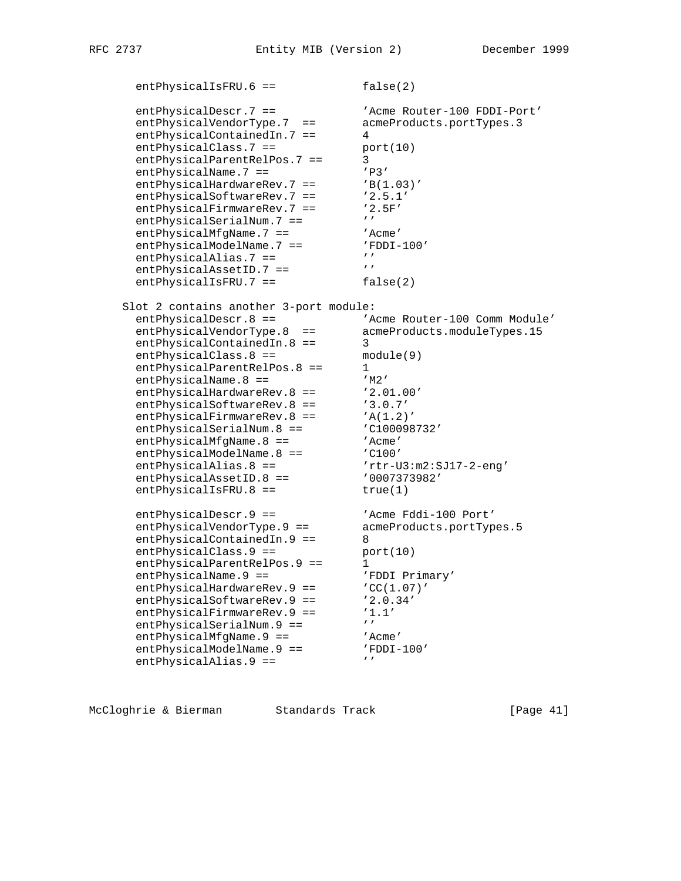entPhysicalIsFRU.6 == false(2) entPhysicalDescr.7 == 'Acme Router-100 FDDI-Port' entPhysicalVendorType.7 == acmeProducts.portTypes.3 entPhysicalContainedIn.7 == 4 entPhysicalClass.7 == port(10)<br>entPhysicalParentRelPos.7 == 3 entPhysicalParentRelPos.7 == 3 entPhysicalName.7 ==  $'P3'$ entPhysicalHardwareRev.7 == 'B(1.03)' entPhysicalSoftwareRev.7 ==  $'2.5.1'$ <br>entPhysicalFirmwareRev.7 ==  $'2.5F'$ entPhysicalFirmwareRev.7 == '2.5F' entPhysicalSerialNum.7 ==  $'$ entPhysicalMfgName.7 == 'Acme'<br>entPhysicalModelName.7 == 'FDDI-100' entPhysicalModelName.7 ==  $'$ FDDI-100' entPhysicalAlias.7 ==  $'$ entPhysicalAssetID.7 ==  $'$ entPhysicalIsFRU.7 == false(2) Slot 2 contains another 3-port module: entPhysicalDescr.8 == 'Acme Router-100 Comm Module' entPhysicalVendorType.8 == acmeProducts.moduleTypes.15 entPhysicalContainedIn.8 == 3 entPhysicalClass.8 == module(9) entPhysicalClass.8 ==<br>entPhysicalParentRelPos.8 == 1<br>And 1 = 1<br>And 1 = 1<br>And 1 = 1<br>And 1 = 1<br>And 1 = 1<br>And 1 = 1<br>And 1 = 1<br>And 1 = 1<br>And 1 = 1<br>And 1 = 1<br>And 1 = 1<br>And 1 = 1<br>And 1 = 1 = 1<br>And 1 = 1 = 1 = 1 = 1 = 1 = 1 = 1 = entPhysicalName.8 ==  $'M2'$ entPhysicalHardwareRev.8 == '2.01.00' entPhysicalSoftwareRev.8 == '3.0.7' entPhysicalFirmwareRev.8 == 'A(1.2)' entPhysicalSerialNum.8 ==  $\qquad$  'C100098732' entPhysicalMfgName.8 == 'Acme' entPhysicalModelName.8 ==  $\overline{C}$  'C100' entPhysicalAlias.8 ==  $rtr-U3:m2:SJ17-2-eng'$ entPhysicalAssetID.8 ==  $0007373982'$ entPhysicalIsFRU.8 == true(1) entPhysicalDescr.9 ==  $\qquad \qquad$  'Acme Fddi-100 Port' entPhysicalVendorType.9 == acmeProducts.portTypes.5 entPhysicalContainedIn.9 == 8 entPhysicalClass.9 == port(10) entPhysicalParentRelPos.9 == 1 entPhysicalName.9 == The 'FDDI Primary' entPhysicalHardwareRev.9 == 'CC(1.07)' entPhysicalSoftwareRev.9 == '2.0.34' entPhysicalFirmwareRev.9 == '1.1' entPhysicalSerialNum.9 ==  $'$ entPhysicalMfgName.9 == 'Acme' entPhysicalModelName.9 ==  $'$ FDDI-100' entPhysicalAlias.9 ==  $'$ 

McCloghrie & Bierman Standards Track [Page 41]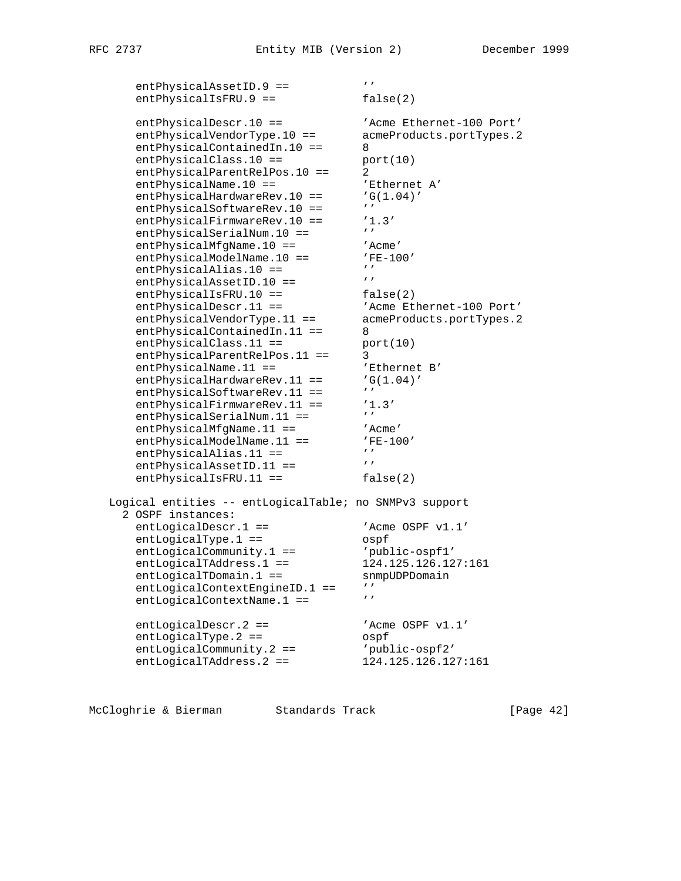entPhysicalAssetID.9 ==  $'$ entPhysicalIsFRU.9 == false(2) entPhysicalDescr.10 == 'Acme Ethernet-100 Port' entPhysicalVendorType.10 == acmeProducts.portTypes.2 entPhysicalContainedIn.10 == 8 entPhysicalClass.10 == port(10) entPhysicalParentRelPos.10 == 2 entPhysicalName.10 == Thernet A' entPhysicalHardwareRev.10 == 'G(1.04)' entPhysicalSoftwareRev.10 == '' entPhysicalFirmwareRev.10 == '1.3' entPhysicalSerialNum.10 == '' entPhysicalMfgName.10 == 'Acme' entPhysicalModelName.10 ==  $'$ FE-100' entPhysicalAlias.10 ==  $'$ entPhysicalAssetID.10 == ''' entPhysicalIsFRU.10 == false(2) entPhysicalDescr.11 ==  $\blacksquare$  'Acme Ethernet-100 Port' entPhysicalVendorType.11 == acmeProducts.portTypes.2 entPhysicalContainedIn.11 == 8  $entPhysicalClass.11 ==$  port(10) entPhysicalParentRelPos.11 == 3 entPhysicalName.11 ==  $\blacksquare$  'Ethernet B' entPhysicalName.11 == 'Ethernet<br>entPhysicalHardwareRev.11 == 'G(1.04)'<br>entPhysicalSoftwareRev 11 == '' entPhysicalSoftwareRev.11 == ''<br>entPhysicalFirmwareRev.11 == '1.3'  $entPhysicalFirmwareRev.11 ==$ entPhysicalSerialNum.11 == ''' entPhysicalMfgName.11 == 'Acme' entPhysicalModelName.11 ==  $'$ FE-100'  $entPhysicalalias.11 ==$ <br>antPhysicalAssetID 11 ==  $'$  entPhysicalAssetID.11 == '' entPhysicalIsFRU.11 == false(2) Logical entities -- entLogicalTable; no SNMPv3 support 2 OSPF instances: entLogicalDescr.1 ==  $\qquad$  'Acme OSPF v1.1' entLogicalType.1 == 0spf entLogicalCommunity.1 ==  $'public - ospf1'$  entLogicalTAddress.1 == 124.125.126.127:161 entLogicalTDomain.1 == snmpUDPDomain entLogicalContextEngineID.1 == ''<br>entLogicalContextName 1 == ''' entLogicalContextName.1 == entLogicalDescr.2 == 'Acme OSPF v1.1'<br>
entLogicalType.2 == '0spf<br>  $\begin{array}{ccc}\n & \circ & \circ & \circ & \circ \\
 & \circ & \circ & \circ & \circ \\
 & \circ & \circ & \circ & \circ \\
 & \circ & \circ & \circ & \circ\n\end{array}$  $entLogicalType.2 ==$ entLogicalCommunity.2 ==  $'public - ospf2'$ entLogicalTAddress.2 == 124.125.126.127:161

McCloghrie & Bierman Standards Track [Page 42]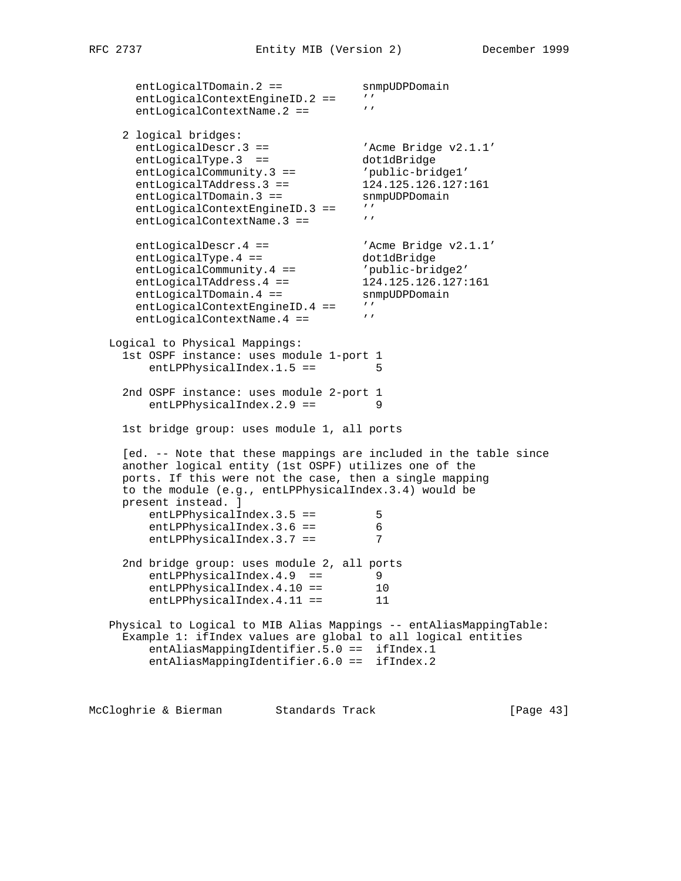entLogicalTDomain.2 == snmpUDPDomain entLogicalContextEngineID.2 == '' entLogicalContextName.2 == ''' 2 logical bridges: entLogicalDescr.3 ==  $\qquad \qquad$  'Acme Bridge v2.1.1' entLogicalType.3 == dot1dBridge entLogicalCommunity.3 == 'public-bridge1' entLogicalTAddress.3 == 124.125.126.127:161 entLogicalTDomain.3 == snmpUDPDomain entLogicalContextEngineID.3 == ''<br>entLogicalContextName 3 -- ''' entLogicalContextName.3 == entLogicalDescr.4 ==  $\qquad \qquad$  'Acme Bridge v2.1.1' entLogicalType.4 == dot1dBridge entLogicalCommunity.4 == 'public-bridge2' entLogicalTAddress.4 == 124.125.126.127:161 entLogicalTDomain.4 == snmpUDPDomain entLogicalContextEngineID.4 == '' entLogicalContextName.4 == '' Logical to Physical Mappings: 1st OSPF instance: uses module 1-port 1 entLPPhysicalIndex.1.5 == 5 2nd OSPF instance: uses module 2-port 1 entLPPhysicalIndex.2.9 == 9 1st bridge group: uses module 1, all ports [ed. -- Note that these mappings are included in the table since another logical entity (1st OSPF) utilizes one of the ports. If this were not the case, then a single mapping to the module (e.g., entLPPhysicalIndex.3.4) would be present instead. ] entLPPhysicalIndex.3.5 == 5 entLPPhysicalIndex.3.6 == 6<br>entLPPhysicalIndex.3.6 == 6 entLPPhysicalIndex.3.7 == 7 2nd bridge group: uses module 2, all ports entLPPhysicalIndex.4.9 == 9 entLPPhysicalIndex.4.10 == 10 entLPPhysicalIndex.4.11 == 11 Physical to Logical to MIB Alias Mappings -- entAliasMappingTable: Example 1: ifIndex values are global to all logical entities entAliasMappingIdentifier.5.0 == ifIndex.1 entAliasMappingIdentifier.6.0 == ifIndex.2

McCloghrie & Bierman Standards Track [Page 43]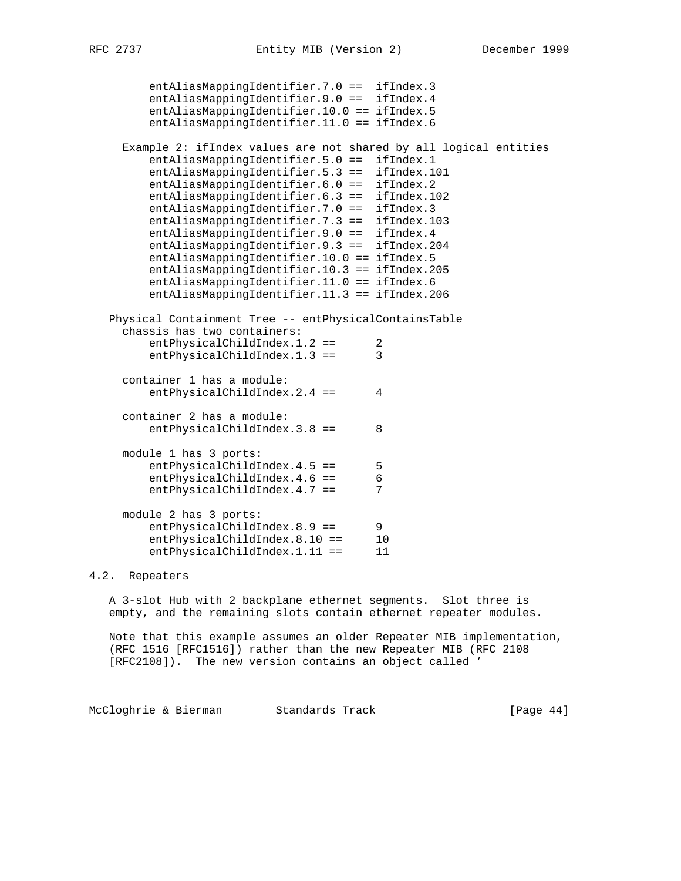```
 entAliasMappingIdentifier.7.0 == ifIndex.3
      entAliasMappingIdentifier.9.0 == ifIndex.4
      entAliasMappingIdentifier.10.0 == ifIndex.5
      entAliasMappingIdentifier.11.0 == ifIndex.6
   Example 2: ifIndex values are not shared by all logical entities
      entAliasMappingIdentifier.5.0 == ifIndex.1
      entAliasMappingIdentifier.5.3 == ifIndex.101
      entAliasMappingIdentifier.6.0 == ifIndex.2
      entAliasMappingIdentifier.6.3 == ifIndex.102
      entAliasMappingIdentifier.7.0 == ifIndex.3
      entAliasMappingIdentifier.7.3 == ifIndex.103
     entAliasMappingIdentifier.9.0 == ifIndex.4
      entAliasMappingIdentifier.9.3 == ifIndex.204
      entAliasMappingIdentifier.10.0 == ifIndex.5
      entAliasMappingIdentifier.10.3 == ifIndex.205
      entAliasMappingIdentifier.11.0 == ifIndex.6
      entAliasMappingIdentifier.11.3 == ifIndex.206
 Physical Containment Tree -- entPhysicalContainsTable
  chassis has two containers:
     entPhysicalChildIndex.1.2 == 2
     entPhysicalChildIndex.1.3 == 3
  container 1 has a module:
     entPhysicalChildIndex.2.4 == 4
  container 2 has a module:
     entPhysicalChildIndex.3.8 == 8
  module 1 has 3 ports:
     entPhysicalChildIndex.4.5 == 5
     entPhysicalChildIndex.4.6 == 6
     entPhysicalChildIndex.4.7 == 7
  module 2 has 3 ports:
     entPhysicalChildIndex.8.9 == 9
     entPhysicalChildIndex.8.10 == 10
     entPhysicalChildIndex.1.11 == 11
```
# 4.2. Repeaters

 A 3-slot Hub with 2 backplane ethernet segments. Slot three is empty, and the remaining slots contain ethernet repeater modules.

 Note that this example assumes an older Repeater MIB implementation, (RFC 1516 [RFC1516]) rather than the new Repeater MIB (RFC 2108 [RFC2108]). The new version contains an object called '

McCloghrie & Bierman Standards Track [Page 44]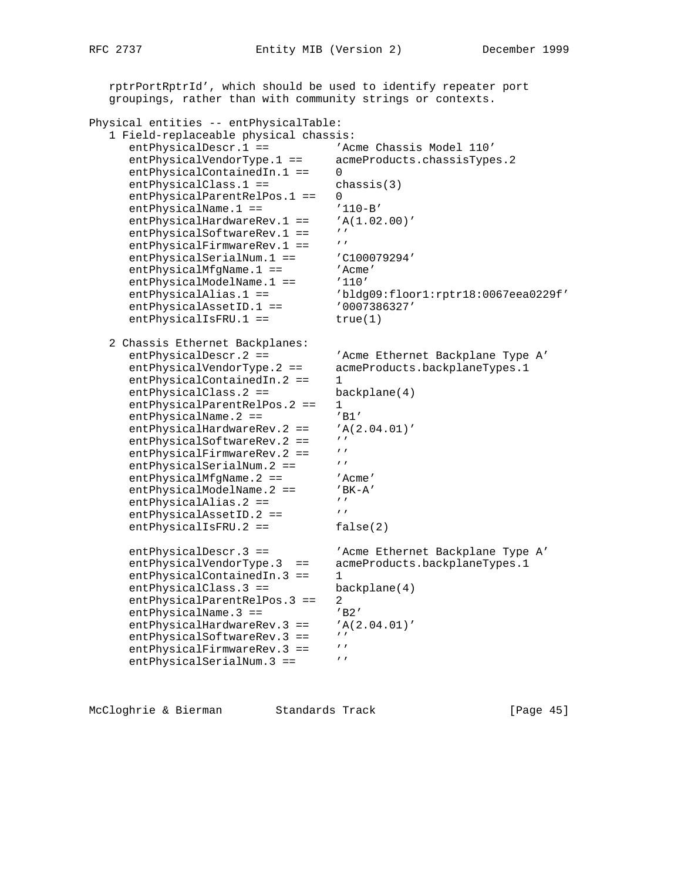```
 rptrPortRptrId', which should be used to identify repeater port
    groupings, rather than with community strings or contexts.
Physical entities -- entPhysicalTable:
    1 Field-replaceable physical chassis:
      entPhysicalDescr.1 == 'Acme Chassis Model 110'
       entPhysicalVendorType.1 == acmeProducts.chassisTypes.2
      entPhysicalContainedIn.1 == 0
      entPhysicalClass.1 == chassis(3)
      entPhysicalParentRelPos.1 == 0
      entPhysicalName.1 == '110-B'entPhysicalHardwareRev.1 == 'A(1.02.00)'
      entPhysicalSoftwareRev.1 == ''
      entPhysicalFirmwareRev.1 == ''<br>entPhysicalSerialNum.1 == 'C100079294'
      entPhysicalSerialNum.1 == 'C1000<br>entPhysicalMfqName.1 == 'AentPhysicalMfgName.1 ==entPhysicalModelName.1 == '110'
 entPhysicalAlias.1 == 'bldg09:floor1:rptr18:0067eea0229f'
      entPhysicalAssetID.1 == 0007386327'entPhysicalISFRU.1 == true(1) 2 Chassis Ethernet Backplanes:
       entPhysicalDescr.2 == 'Acme Ethernet Backplane Type A'
      entPhysicalDescr.2 == <br>
entPhysicalVendorType.2 == acmeProducts.backplaneTypes.1<br>
antPhysicalContainedIn.2 == 1
       entPhysicalContainedIn.2 == 1
      entPhysicalClass.2 == backplane(4)<br>entPhysicalParentRelPos.2 == 1
      entPhysicalParentRelPos.2 ==
      entPhysicalName.2 == 'BJ'<br>entPhysicalHardwareRev.2 == 'A(2.04.01)'
      entPhysicalHardwareRev.2 == 'A<br>
ontPhysicalSoftwarePoy 2 == ''
      entPhysicalSoftwareRev.2 == ''<br>entPhysicalFirmwareRev.2 == ''
      entPhysicalFirmwareRev.2 == ''<br>entPhysicalSerialNum 2 == '''
      entPhysicalSerialNum.2 ==
      entPhysicalMfgName.2 == 'Acme'
      entPhysicalModelName.2 == 'BK-A'<br>entPhysicalAlias.2 == '''
      entPhysics1Alias.2 ==<br>antPhysicalAssetID 2 -- '''
      entPhysicalAssetID.2 ==
      entPhysicalIsFRU.2 == false(2)
      entPhysicalDescr.3 == 'Acme Ethernet Backplane Type A'
      entPhysicalVendorType.3 == acmeProducts.backplaneTypes.1
      entPhysicalContainedIn.3 == 1
       entPhysicalClass.3 == backplane(4)
      entPhysicalParentRelPos.3 == 2
      entPhysicalName.3 == 'B2'
      entPhysicalHardwareRev.3 == 'A(2.04.01)'<br>antPhysicalSoftwarePey.3 == 'entPhysicalSoftwareRev.3 == ''<br>entPhysicalFirmwareRev 3 == ''
      entPhysicalFirmwareRev.3 ==
      entPhysicalSerialNum.3 == ''
```
McCloghrie & Bierman Standards Track [Page 45]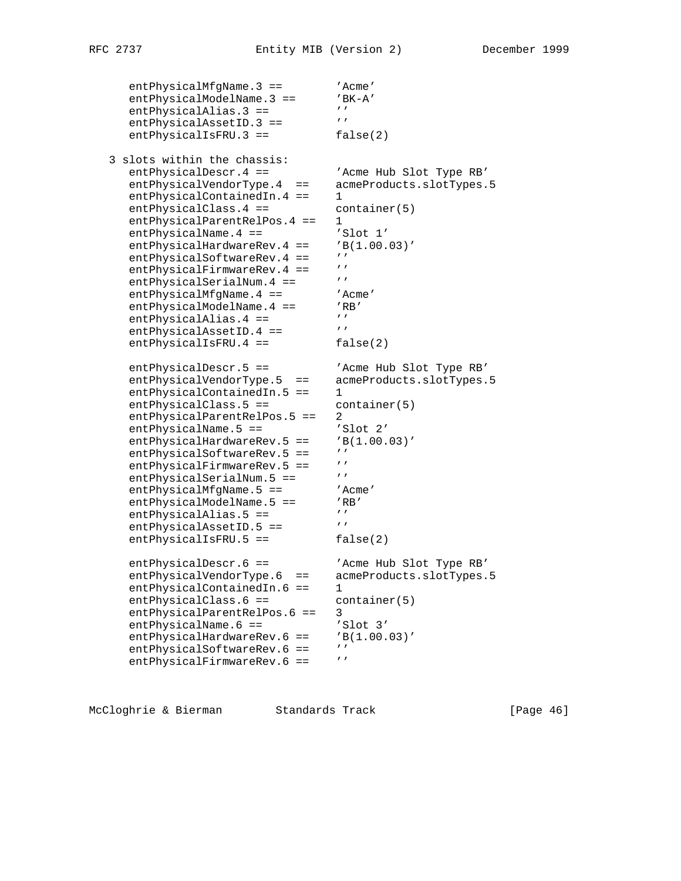entPhysicalMfgName.3 == 'Acme'<br>entPhysicalModelName.3 == 'BK-A' entPhysicalModelName.3 ==  $'BF$ entPhysicalAlias.3 == '''<br>entPhysicalAssetID 3 -- ''' entPhysicalAssetID.3 == entPhysicalIsFRU.3 == false(2) 3 slots within the chassis: entPhysicalDescr.4 == 'Acme Hub Slot Type RB' entPhysicalVendorType.4 == acmeProducts.slotTypes.5 entPhysicalContainedIn.4 == 1 entPhysicalClass.4 == container(5) entPhysicalParentRelPos.4 == 1<br>entPhysicalName.4 == 'Slot 1' entPhysicalName.4 == 'Slot 1'<br>entPhysicalHardwareRev.4 == 'B(1.00.03)' entPhysicalHardwareRev.  $4 == 7B$ entPhysicalSoftwareRev.4 == ''<br>
ontPhysicalFirmwarePoy 4 == '' entPhysicalFirmwareRev.4 == ''<br>entPhysicalSerialNum 4 == ''' entPhysicalSerialNum.4 == ''<br>entPhysicalMfqName.4 == ''Acme' entPhysicalMfgName.4 == 'Acm<br>entPhysicalModelName.4 == 'RR' entPhysicalModelName.4 == 'RB<br>entPhysicalAlias 4 == ''Y  $entPhysicsicalAlias.4 ==$ entPhysicalAssetID.4 == entPhysicalIsFRU.4 == false(2) entPhysicalDescr.5 == 'Acme Hub Slot Type RB' entPhysicalVendorType.5 == acmeProducts.slotTypes.5 entPhysicalContainedIn.5 == 1 entPhysicalClass.5 == container(5) entPhysicalParentRelPos.5 == 2<br>entPhysicalName.5 == 'Slot 2'<br>entPhysicalHardwareRev.5 == 'Slot 2'  $entPhysicsicalName.5 ==$ entPhysicalHardwareRev.5 ==  $'B$ <br>antPhysicalSoftwarePey 5 ==  $'$ entPhysicalSoftwareRev.5 == ''<br>entPhysicalFirmwareRev 5 == '' entPhysicalFirmwareRev.5 == ''<br>ontPhysicalSorialNum 5 -- ''' entPhysicalSerialNum.5 == entPhysicalMfgName.5 == 'Acme'<br>entPhysicalModelName.5 == 'RB' entPhysicalModelName.5 == 'RB' entPhysicalAlias.5 ==  $'$ entPhysicalAssetID.5 ==  $'$ entPhysicalIsFRU.5 == false(2) entPhysicalDescr.6 == 'Acme Hub Slot Type RB' entPhysicalVendorType.6 == acmeProducts.slotTypes.5 entPhysicalContainedIn.6 == 1 entPhysicalClass.6 == container(5) entPhysicalParentRelPos.6 == 3 entPhysicalName.6 == 'Slot 3' entPhysicalHardwareRev.6 == 'B(1.00.03)' entPhysicalSoftwareRev.6 == '' entPhysicalFirmwareRev.6 == ''

McCloghrie & Bierman Standards Track [Page 46]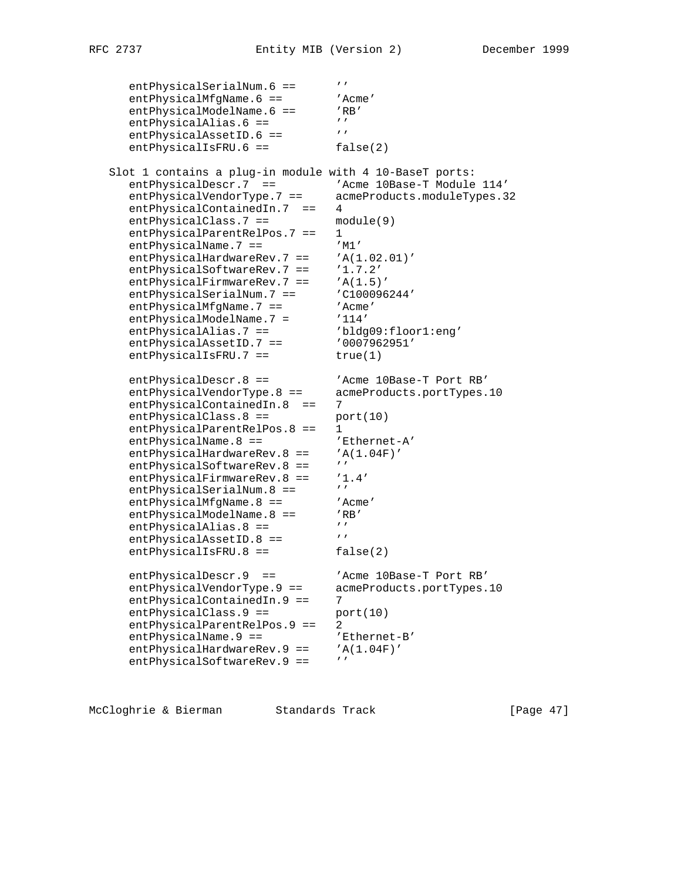entPhysicalSerialNum.6 == ''<br>entPhysicalMfgName.6 == 'Acme' entPhysicalMfgName.6 == 'Acm<br>entPhysicalModelName.6 == 'RB' entPhysicalModelName.6 == 'RE<br>
ontPhysicalAlias 6 -- ''' entPhysicalAlias.6 == '''<br>entPhysicalAssetID 6 == ''' entPhysicalAssetID.6 == entPhysicalIsFRU.6 == false(2) Slot 1 contains a plug-in module with 4 10-BaseT ports: entPhysicalDescr.7 == 'Acme 10Base-T Module 114' entPhysicalVendorType.7 == acmeProducts.moduleTypes.32 entPhysicalContainedIn.7 == 4 entPhysicalClass.7 == module(9) entPhysicalParentRelPos.7 == 1 entPhysicalName.7 ==  $'M1'$ <br>entPhysicalHardwareRev.7 ==  $'A(1.02.01)$ '  $entPhysicalHardwareRev.7 ==$ entPhysicalSoftwareRev.7 == '1.7.2' entPhysicalFirmwareRev.7 ==  $'A(1.5)'$ entPhysicalSerialNum.7 == 'C100096244'<br>entPhysicalMfqName.7 == 'C100096244' entPhysicalMfgName.7 == 'Acme' entPhysicalModelName.7 = '114' entPhysicalAlias.7 == 'bldg09:floor1:eng' entPhysicalAssetID.7 == '0007962951' entPhysicalIsFRU.7 == true(1) entPhysicalDescr.8 == 'Acme 10Base-T Port RB' entPhysicalVendorType.8 == acmeProducts.portTypes.10 entPhysicalContainedIn.8 == 7 entPhysicalClass.8 == port(10) entPhysicalParentRelPos.8 == 1<br>entPhysicalName.8 == 'Ethernet-A' entPhysicalName.8 ==  $'$ Ethernet-<br>entPhysicalHardwareRev.8 ==  $'A(1.04F)'$ entPhysicalHardwareRev.8 == entPhysicalSoftwareRev.8 == entPhysicalFirmwareRev.8 ==  $'1.4'$ <br>entPhysicalSerialNum 8 ==  $'$ entPhysicalSerialNum.8 == ''<br>entPhysicalMfqName.8 == 'Acme' entPhysicalMfgName.8 == 'Acm<br>entPhysicalModelName.8 == 'RB' entPhysicalModelName.8 == 'RB' entPhysicalAlias.8 ==  $'$ entPhysicalAssetID.8 == '' entPhysicalIsFRU.8 == false(2) entPhysicalDescr.9 == 'Acme 10Base-T Port RB' entPhysicalVendorType.9 == acmeProducts.portTypes.10 entPhysicalContainedIn.9 == 7  $entPhysicalClass.9 == port(10)$ entPhysicalParentRelPos.9 == 2 entPhysicalName.9 == 'Ethernet-B' entPhysicalHardwareRev.9 == 'A(1.04F)' entPhysicalSoftwareRev.9 == ''

McCloghrie & Bierman Standards Track [Page 47]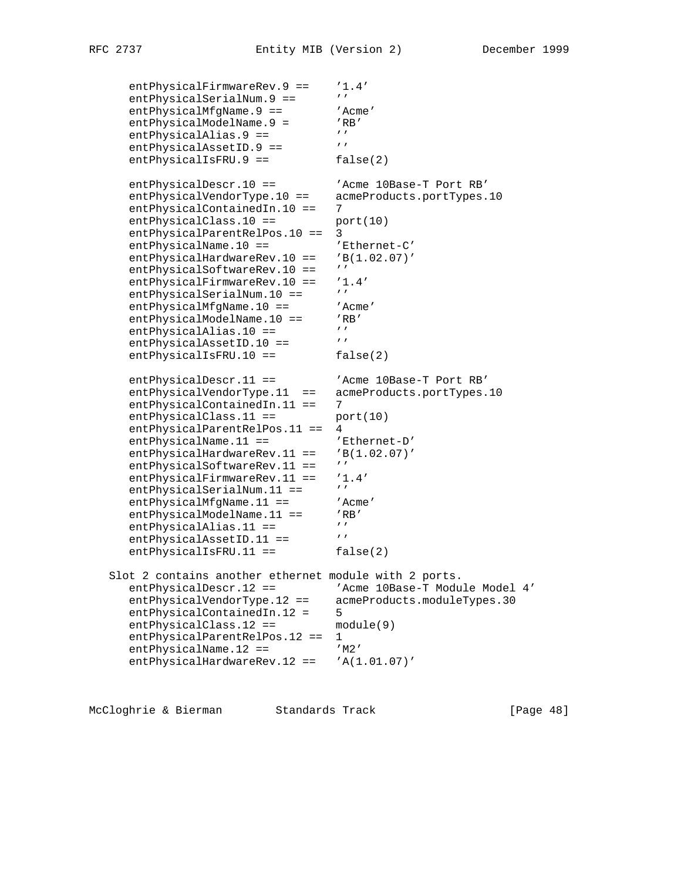```
entPhysicalFirmwareRev.9 == '1.4'<br>entPhysicalSerialNum.9 == '''
      entPhysicalSerialNum.9 == ''<br>entPhysicalMfqName.9 == ''Acme'
      entPhysicalMfgName.9 == 'Acm<br>entPhysicalModelName.9 = 'RB'
      entPhysicalModelName.9 = 'RI<br>entPhysicalAlias 9 == 'entPhysicalalias.9 ==''<br>antDhysicalAssetTD 9 == '''
entPhysicalAssetID.9 == ''
entPhysicalIsFRU.9 == false(2)
      entPhysicalDescr.10 == 'Acme 10Base-T Port RB'
       entPhysicalVendorType.10 == acmeProducts.portTypes.10
      entPhysicalContainedIn.10 == 7
      entPhysicalClass.10 == port(10)
       entPhysicalParentRelPos.10 == 3
      entPhysicalName.10 == 'Ethernet-C'
      entPhysicalHardwareRev.10 == 'B(1.02.07)'<br>entPhysicalSoftwarePey.10 == ''
      entPhysicalSoftwareRev.10 ==
      entPhysicalFirmwareRev.10 == '1.4'<br>entPhysicalSerialNum 10 -- '''
      entPhysicalSerialNum.10 == ''<br>entPhysicalMfqName.10 == 'Acme'
      entPhysicalMfgName.10 ==entPhysicalModelName.10 == 'RB'<br>
entPhysicallics 10 -- ''
      entPhysicalAlias.10 == ''<br>entPhysicalAssetTD 10 == '''
      entPhysicalAssetID.10 ==
      entPhysicalIsFRU.10 == false(2)
      entPhysicalDescr.11 == 'Acme 10Base-T Port RB'
 entPhysicalVendorType.11 == acmeProducts.portTypes.10
 entPhysicalContainedIn.11 == 7
      entPhysicalClass.11 == port(10)
      entPhysicalParentRelPos.11 == 4<br>entPhysicalName.11 == 'Ethernet-D'
      entPhysicalName.11 ==entPhysicalHardwareRev.11 == 'B(1.02.07)'<br>entPhysicalSoftwareRev.11 == ''
      entPhysicalSoftwareRev.11 ==
       entPhysicalFirmwareRev.11 == '1.4'
      entPhysicalSerialNum.11 == ''<br>entPhysicalMfqName.11 == 'Acme'
      entPhysicalMfgName.11 == 'Acm<br>
entPhvsicalModelName.11 == 'RB'
entPhysicalModelName.11 == 'RB'
entPhysicalAlias.11 == 'entPhysicalAssetID.11 == ''
      entPhysicalIsFRU.11 == false(2)
    Slot 2 contains another ethernet module with 2 ports.
      entPhysicalDescr.12 == 'Acme 10Base-T Module Model 4'
 entPhysicalVendorType.12 == acmeProducts.moduleTypes.30
entPhysicalContainedIn.12 = 5
       entPhysicalClass.12 == module(9)
       entPhysicalParentRelPos.12 == 1
      entPhysicalName.12 == 'M2'
      entPhysicalHardwareRev.12 == 'A(1.01.07)'
```
McCloghrie & Bierman Standards Track [Page 48]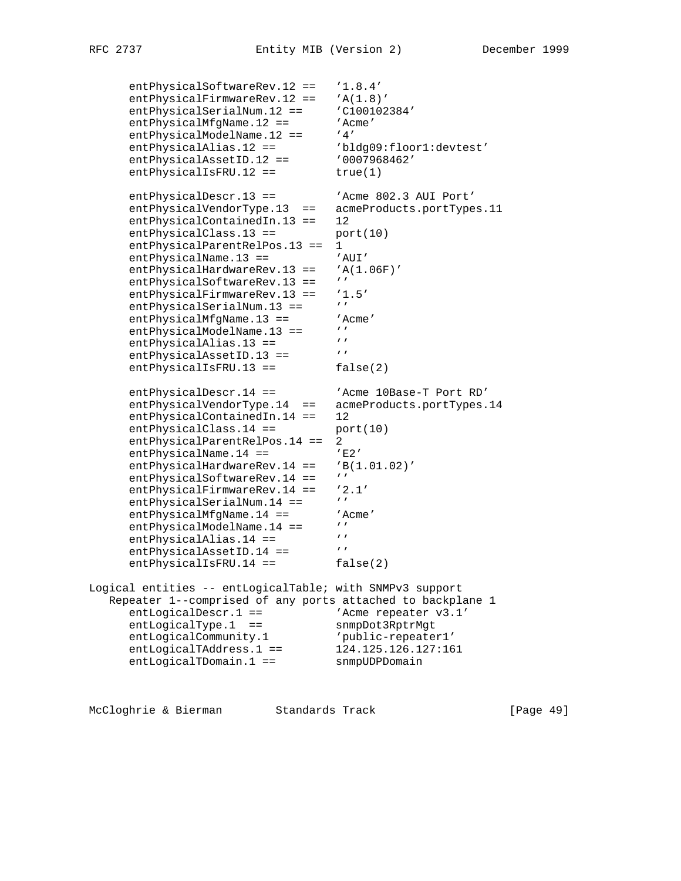```
 entPhysicalSoftwareRev.12 == '1.8.4'
      entPhysicalFirmwareRev.12 == 'A(1.8)'
      entPhysicalSerialNum.12 == 'C100102384'
      entPhysicalMfgName.12 == 'Acme'
entPhysicalModelName.12 == '4'
 entPhysicalAlias.12 == 'bldg09:floor1:devtest'
 entPhysicalAssetID.12 == '0007968462'
      entPhysicsicalISFRU.12 == true(1)entPhysicalDescr.13 == 'Acme 802.3 AUI Port'
       entPhysicalVendorType.13 == acmeProducts.portTypes.11
       entPhysicalContainedIn.13 == 12
      entPhysicalClass.13 == port(10)
       entPhysicalParentRelPos.13 == 1
      entPhysicalName.13 == 'AUI'
      entPhysicalHardwareRev.13 == 'A(1.06F)'
      entPhysicalSoftwareRev.13 == ''
      entPhysicalFirmwareRev.13 == '1.5'<br>entPhysicalSerialNum 13 -- '''
      entPhysicalSerialNum.13 ==
      entPhysicalMfgName.13 == 'Acme'<br>
ontPhysicalModelName.12 == ''
      entPhysicalModelName.13 == ''<br>entPhysicalAlias 13 -- '''
      entPhysicalAlias.13 == ''<br>entPhysicalAssetID 13 == '''
      entPhysicalAssetID.13 ==
      entPhysicalIsFRU.13 == false(2)
      entPhysicalDescr.14 == 'Acme 10Base-T Port RD'
      entPhysicalVendorType.14 == acmeProducts.portTypes.14
       entPhysicalContainedIn.14 == 12
      entPhysicalClass.14 == port(10)
      entPhysicalParentRelPos.14 == 2<br>entPhysicalName.14 == 'E2'entPhysicalName.14 ==entPhysicalHardwareRev.14 == 'B(1.01.02)'<br>ortPhysicalSoftwareRev.14 == ''
      entPhysicalSoftwareRev.14 ==
      entPhysicalFirmwareRev.14 == '2.1'<br>entPhysicalSerialNum 14 == 'entPhysicalSerialNum.14 == ''<br>entPhysicalMfqName.14 == 'Acme'
      entPhysicalMfgName.14 == 'A<br>antPhysicalModelName 14 -- 'entPhysicalModelName.14 == 'entPhysicsicalAlias.14 ==entPhysicalAssetID.14 ==
      entPhysicalIsFRU.14 == false(2)
Logical entities -- entLogicalTable; with SNMPv3 support
    Repeater 1--comprised of any ports attached to backplane 1
entLogicalDescr.1 == \qquad 'Acme repeater v3.1'
 entLogicalType.1 == snmpDot3RptrMgt
 entLogicalCommunity.1 'public-repeater1'
 entLogicalTAddress.1 == 124.125.126.127:161
 entLogicalTDomain.1 == snmpUDPDomain
```
McCloghrie & Bierman Standards Track [Page 49]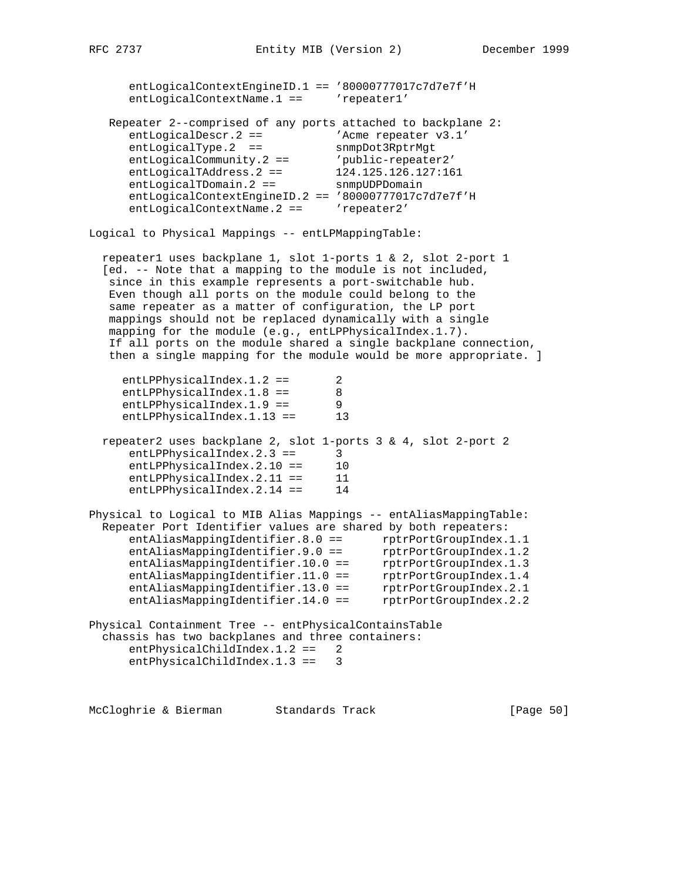| entLogicalContextEngineID.1 == '80000777017c7d7e7f'H<br>entLogicalContextName.1 ==                                                                                                                                                                                                                                                                                                                                                                                                                                                                                           | 'repeater1'                                                                                                                                              |
|------------------------------------------------------------------------------------------------------------------------------------------------------------------------------------------------------------------------------------------------------------------------------------------------------------------------------------------------------------------------------------------------------------------------------------------------------------------------------------------------------------------------------------------------------------------------------|----------------------------------------------------------------------------------------------------------------------------------------------------------|
| Repeater 2--comprised of any ports attached to backplane 2:<br>$entLogicalDescr.2 ==$<br>entLogicalType.2<br>$==$<br>$entLogicalCommunity.2 ==$<br>entLogicalTAddress.2 ==<br>$entLogicalTDomain.2 ==$<br>entLogicalContextEngineID.2 == '80000777017c7d7e7f'H<br>entLogicalContextName.2 ==                                                                                                                                                                                                                                                                                 | 'Acme repeater v3.1'<br>snmpDot3RptrMgt<br>'public-repeater2'<br>124.125.126.127:161<br>snmpUDPDomain<br>'repeater2'                                     |
| Logical to Physical Mappings -- entLPMappingTable:                                                                                                                                                                                                                                                                                                                                                                                                                                                                                                                           |                                                                                                                                                          |
| repeater1 uses backplane 1, slot 1-ports 1 & 2, slot 2-port 1<br>[ed. -- Note that a mapping to the module is not included,<br>since in this example represents a port-switchable hub.<br>Even though all ports on the module could belong to the<br>same repeater as a matter of configuration, the LP port<br>mappings should not be replaced dynamically with a single<br>mapping for the module (e.g., entLPPhysicalIndex.1.7).<br>If all ports on the module shared a single backplane connection,<br>then a single mapping for the module would be more appropriate. ] |                                                                                                                                                          |
| $entLPPhysicalIndex.1.2 ==$<br>entLPPhysicalIndex.1.8 ==<br>$entLPPhysicalIndex.1.9 ==$<br>entLPPhysicalIndex.1.13 ==                                                                                                                                                                                                                                                                                                                                                                                                                                                        | 2<br>8<br>9<br>13                                                                                                                                        |
| repeater2 uses backplane 2, slot 1-ports 3 & 4, slot 2-port 2<br>$entLPPhysicalIndex.2.3 ==$<br>entLPPhysicalIndex.2.10 ==<br>$entLPPhysicalIndex.2.11 ==$<br>entLPPhysicalIndex.2.14 ==                                                                                                                                                                                                                                                                                                                                                                                     | 3<br>10<br>11<br>14                                                                                                                                      |
| Physical to Logical to MIB Alias Mappings -- entAliasMappingTable:<br>Repeater Port Identifier values are shared by both repeaters:<br>entAliasMappingIdentifier.8.0 ==<br>entAliasMappingIdentifier.9.0 ==<br>entAliasMappingIdentifier.10.0 ==<br>entAliasMappingIdentifier.11.0 ==<br>entAliasMappingIdentifier.13.0 ==<br>entAliasMappingIdentifier.14.0 ==                                                                                                                                                                                                              | rptrPortGroupIndex.1.1<br>rptrPortGroupIndex.1.2<br>rptrPortGroupIndex.1.3<br>rptrPortGroupIndex.1.4<br>rptrPortGroupIndex.2.1<br>rptrPortGroupIndex.2.2 |
| Physical Containment Tree -- entPhysicalContainsTable<br>chassis has two backplanes and three containers:<br>$entPhysicalChildren.1.2 ==$<br>$entPhysicalChildIndex.1.3 ==$                                                                                                                                                                                                                                                                                                                                                                                                  | 2<br>3                                                                                                                                                   |

McCloghrie & Bierman Standards Track (Page 50)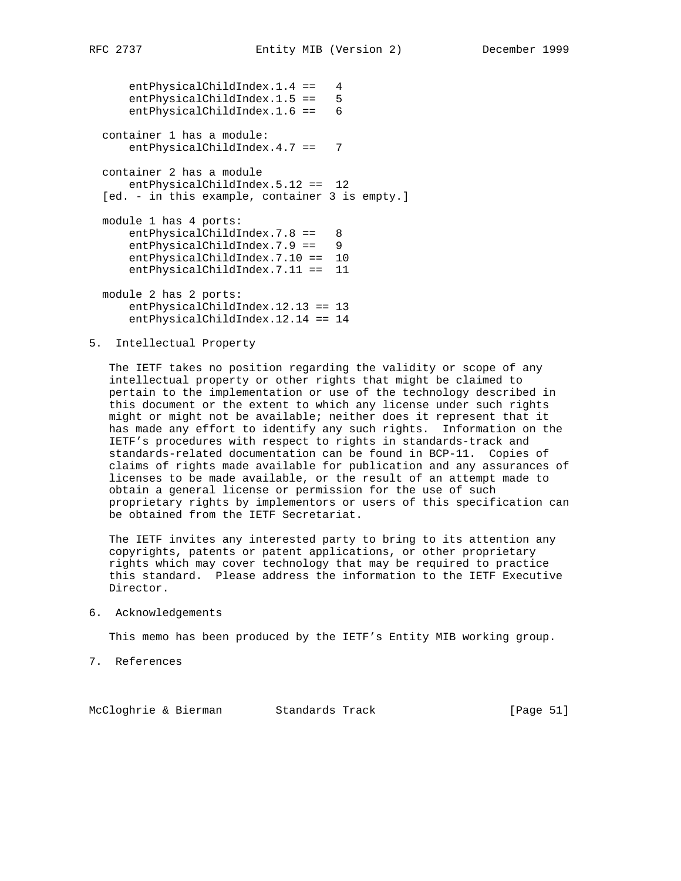entPhysicalChildIndex.1.4 == 4 entPhysicalChildIndex.1.5 == 5 entPhysicalChildIndex.1.6 == 6 container 1 has a module: entPhysicalChildIndex.4.7 == 7 container 2 has a module entPhysicalChildIndex.5.12 == 12 [ed. - in this example, container 3 is empty.] module 1 has 4 ports: entPhysicalChildIndex.7.8 == 8 entPhysicalChildIndex.7.9 == 9 entPhysicalChildIndex.7.10 == 10 entPhysicalChildIndex.7.11 == 11

 module 2 has 2 ports: entPhysicalChildIndex.12.13 == 13 entPhysicalChildIndex.12.14 == 14

# 5. Intellectual Property

 The IETF takes no position regarding the validity or scope of any intellectual property or other rights that might be claimed to pertain to the implementation or use of the technology described in this document or the extent to which any license under such rights might or might not be available; neither does it represent that it has made any effort to identify any such rights. Information on the IETF's procedures with respect to rights in standards-track and standards-related documentation can be found in BCP-11. Copies of claims of rights made available for publication and any assurances of licenses to be made available, or the result of an attempt made to obtain a general license or permission for the use of such proprietary rights by implementors or users of this specification can be obtained from the IETF Secretariat.

 The IETF invites any interested party to bring to its attention any copyrights, patents or patent applications, or other proprietary rights which may cover technology that may be required to practice this standard. Please address the information to the IETF Executive Director.

#### 6. Acknowledgements

This memo has been produced by the IETF's Entity MIB working group.

7. References

McCloghrie & Bierman Standards Track [Page 51]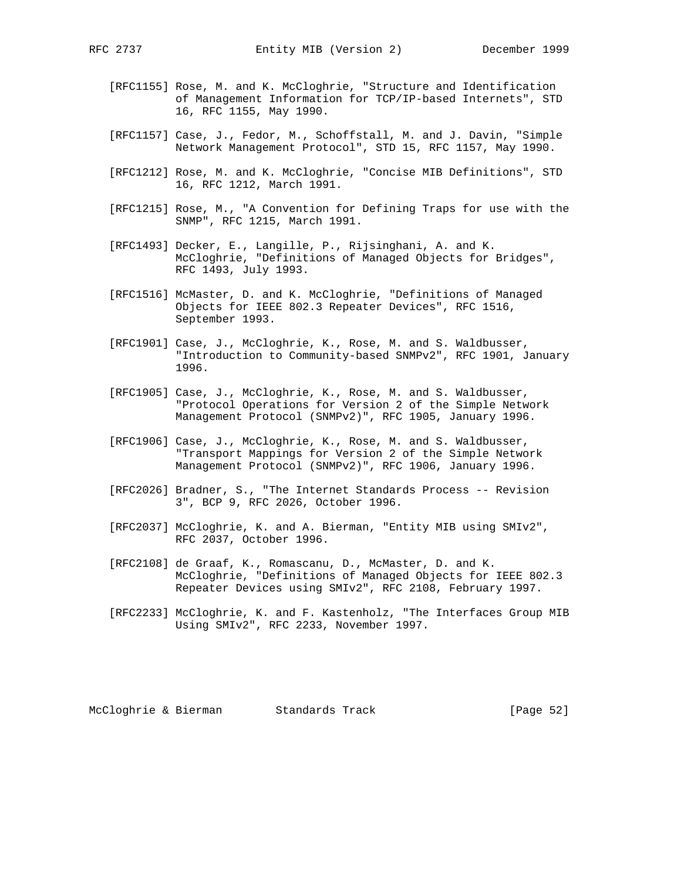- - [RFC1155] Rose, M. and K. McCloghrie, "Structure and Identification of Management Information for TCP/IP-based Internets", STD 16, RFC 1155, May 1990.
	- [RFC1157] Case, J., Fedor, M., Schoffstall, M. and J. Davin, "Simple Network Management Protocol", STD 15, RFC 1157, May 1990.
	- [RFC1212] Rose, M. and K. McCloghrie, "Concise MIB Definitions", STD 16, RFC 1212, March 1991.
	- [RFC1215] Rose, M., "A Convention for Defining Traps for use with the SNMP", RFC 1215, March 1991.
	- [RFC1493] Decker, E., Langille, P., Rijsinghani, A. and K. McCloghrie, "Definitions of Managed Objects for Bridges", RFC 1493, July 1993.
	- [RFC1516] McMaster, D. and K. McCloghrie, "Definitions of Managed Objects for IEEE 802.3 Repeater Devices", RFC 1516, September 1993.
	- [RFC1901] Case, J., McCloghrie, K., Rose, M. and S. Waldbusser, "Introduction to Community-based SNMPv2", RFC 1901, January 1996.
	- [RFC1905] Case, J., McCloghrie, K., Rose, M. and S. Waldbusser, "Protocol Operations for Version 2 of the Simple Network Management Protocol (SNMPv2)", RFC 1905, January 1996.
	- [RFC1906] Case, J., McCloghrie, K., Rose, M. and S. Waldbusser, "Transport Mappings for Version 2 of the Simple Network Management Protocol (SNMPv2)", RFC 1906, January 1996.
	- [RFC2026] Bradner, S., "The Internet Standards Process -- Revision 3", BCP 9, RFC 2026, October 1996.
	- [RFC2037] McCloghrie, K. and A. Bierman, "Entity MIB using SMIv2", RFC 2037, October 1996.
	- [RFC2108] de Graaf, K., Romascanu, D., McMaster, D. and K. McCloghrie, "Definitions of Managed Objects for IEEE 802.3 Repeater Devices using SMIv2", RFC 2108, February 1997.
	- [RFC2233] McCloghrie, K. and F. Kastenholz, "The Interfaces Group MIB Using SMIv2", RFC 2233, November 1997.

McCloghrie & Bierman Standards Track [Page 52]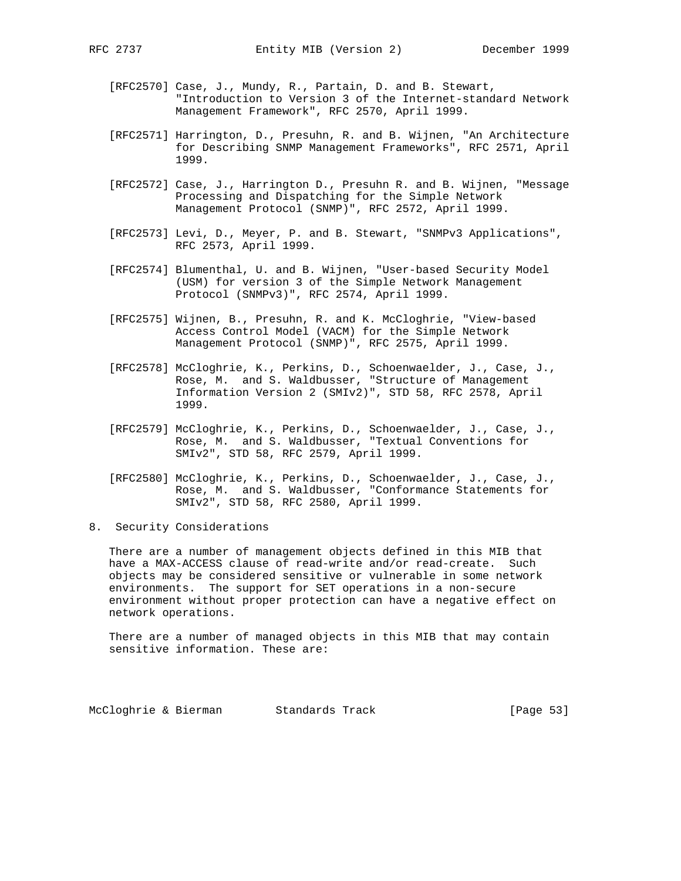- [RFC2570] Case, J., Mundy, R., Partain, D. and B. Stewart, "Introduction to Version 3 of the Internet-standard Network Management Framework", RFC 2570, April 1999.
- [RFC2571] Harrington, D., Presuhn, R. and B. Wijnen, "An Architecture for Describing SNMP Management Frameworks", RFC 2571, April 1999.
- [RFC2572] Case, J., Harrington D., Presuhn R. and B. Wijnen, "Message Processing and Dispatching for the Simple Network Management Protocol (SNMP)", RFC 2572, April 1999.
- [RFC2573] Levi, D., Meyer, P. and B. Stewart, "SNMPv3 Applications", RFC 2573, April 1999.
- [RFC2574] Blumenthal, U. and B. Wijnen, "User-based Security Model (USM) for version 3 of the Simple Network Management Protocol (SNMPv3)", RFC 2574, April 1999.
- [RFC2575] Wijnen, B., Presuhn, R. and K. McCloghrie, "View-based Access Control Model (VACM) for the Simple Network Management Protocol (SNMP)", RFC 2575, April 1999.
- [RFC2578] McCloghrie, K., Perkins, D., Schoenwaelder, J., Case, J., Rose, M. and S. Waldbusser, "Structure of Management Information Version 2 (SMIv2)", STD 58, RFC 2578, April 1999.
- [RFC2579] McCloghrie, K., Perkins, D., Schoenwaelder, J., Case, J., Rose, M. and S. Waldbusser, "Textual Conventions for SMIv2", STD 58, RFC 2579, April 1999.
- [RFC2580] McCloghrie, K., Perkins, D., Schoenwaelder, J., Case, J., Rose, M. and S. Waldbusser, "Conformance Statements for SMIv2", STD 58, RFC 2580, April 1999.
- 8. Security Considerations

 There are a number of management objects defined in this MIB that have a MAX-ACCESS clause of read-write and/or read-create. Such objects may be considered sensitive or vulnerable in some network environments. The support for SET operations in a non-secure environment without proper protection can have a negative effect on network operations.

 There are a number of managed objects in this MIB that may contain sensitive information. These are:

McCloghrie & Bierman Standards Track [Page 53]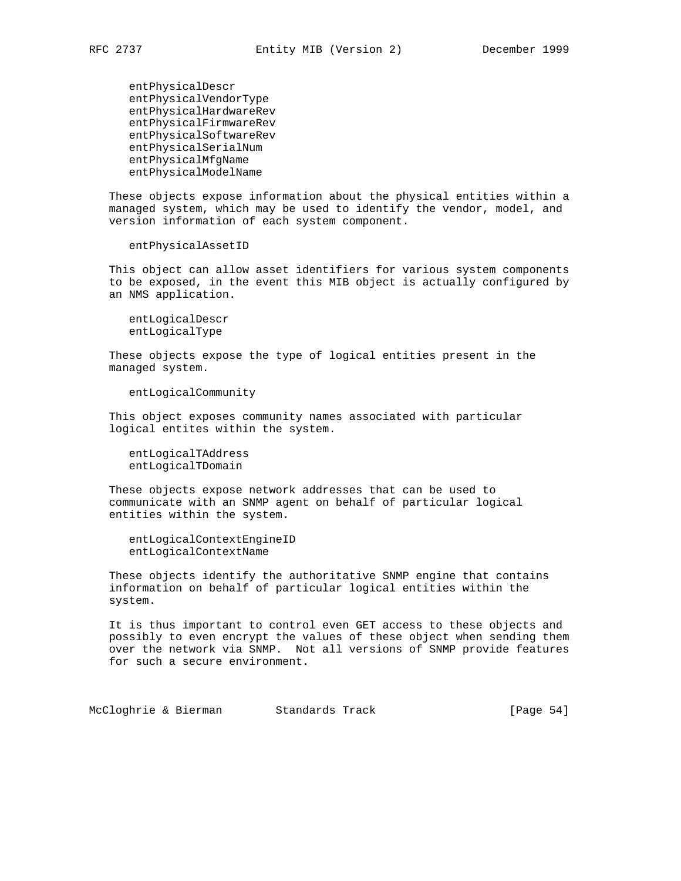entPhysicalDescr entPhysicalVendorType entPhysicalHardwareRev entPhysicalFirmwareRev entPhysicalSoftwareRev entPhysicalSerialNum entPhysicalMfgName entPhysicalModelName

 These objects expose information about the physical entities within a managed system, which may be used to identify the vendor, model, and version information of each system component.

entPhysicalAssetID

 This object can allow asset identifiers for various system components to be exposed, in the event this MIB object is actually configured by an NMS application.

 entLogicalDescr entLogicalType

 These objects expose the type of logical entities present in the managed system.

entLogicalCommunity

 This object exposes community names associated with particular logical entites within the system.

 entLogicalTAddress entLogicalTDomain

 These objects expose network addresses that can be used to communicate with an SNMP agent on behalf of particular logical entities within the system.

 entLogicalContextEngineID entLogicalContextName

 These objects identify the authoritative SNMP engine that contains information on behalf of particular logical entities within the system.

 It is thus important to control even GET access to these objects and possibly to even encrypt the values of these object when sending them over the network via SNMP. Not all versions of SNMP provide features for such a secure environment.

McCloghrie & Bierman Standards Track [Page 54]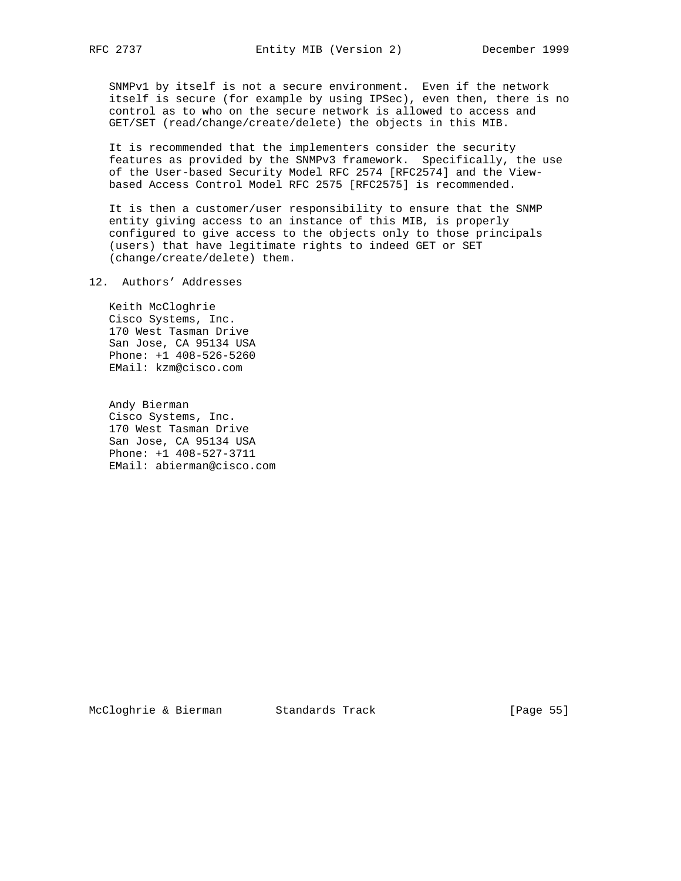SNMPv1 by itself is not a secure environment. Even if the network itself is secure (for example by using IPSec), even then, there is no control as to who on the secure network is allowed to access and GET/SET (read/change/create/delete) the objects in this MIB.

 It is recommended that the implementers consider the security features as provided by the SNMPv3 framework. Specifically, the use of the User-based Security Model RFC 2574 [RFC2574] and the View based Access Control Model RFC 2575 [RFC2575] is recommended.

 It is then a customer/user responsibility to ensure that the SNMP entity giving access to an instance of this MIB, is properly configured to give access to the objects only to those principals (users) that have legitimate rights to indeed GET or SET (change/create/delete) them.

12. Authors' Addresses

 Keith McCloghrie Cisco Systems, Inc. 170 West Tasman Drive San Jose, CA 95134 USA Phone: +1 408-526-5260 EMail: kzm@cisco.com

 Andy Bierman Cisco Systems, Inc. 170 West Tasman Drive San Jose, CA 95134 USA Phone: +1 408-527-3711 EMail: abierman@cisco.com

McCloghrie & Bierman Standards Track [Page 55]